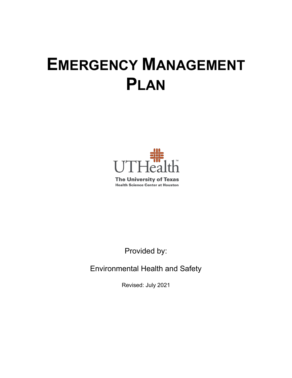# **EMERGENCY MANAGEMENT PLAN**



**The University of Texas Health Science Center at Houston** 

Provided by:

Environmental Health and Safety

Revised: July 2021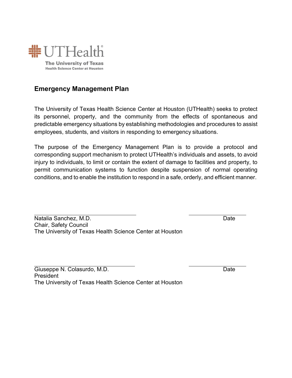

# **Emergency Management Plan**

The University of Texas Health Science Center at Houston (UTHealth) seeks to protect its personnel, property, and the community from the effects of spontaneous and predictable emergency situations by establishing methodologies and procedures to assist employees, students, and visitors in responding to emergency situations.

The purpose of the Emergency Management Plan is to provide a protocol and corresponding support mechanism to protect UTHealth's individuals and assets, to avoid injury to individuals, to limit or contain the extent of damage to facilities and property, to permit communication systems to function despite suspension of normal operating conditions, and to enable the institution to respond in a safe, orderly, and efficient manner.

Natalia Sanchez, M.D. **Date** Chair, Safety Council The University of Texas Health Science Center at Houston

Giuseppe N. Colasurdo, M.D. **Date** President The University of Texas Health Science Center at Houston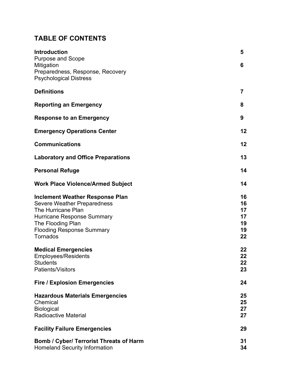# **TABLE OF CONTENTS**

| <b>Introduction</b><br><b>Purpose and Scope</b>                                                                                                                                                              | 5                                      |
|--------------------------------------------------------------------------------------------------------------------------------------------------------------------------------------------------------------|----------------------------------------|
| Mitigation<br>Preparedness, Response, Recovery<br><b>Psychological Distress</b>                                                                                                                              | 6                                      |
| <b>Definitions</b>                                                                                                                                                                                           | $\overline{7}$                         |
| <b>Reporting an Emergency</b>                                                                                                                                                                                | 8                                      |
| <b>Response to an Emergency</b>                                                                                                                                                                              | 9                                      |
| <b>Emergency Operations Center</b>                                                                                                                                                                           | 12                                     |
| <b>Communications</b>                                                                                                                                                                                        | 12                                     |
| <b>Laboratory and Office Preparations</b>                                                                                                                                                                    | 13                                     |
| <b>Personal Refuge</b>                                                                                                                                                                                       | 14                                     |
| <b>Work Place Violence/Armed Subject</b>                                                                                                                                                                     | 14                                     |
| <b>Inclement Weather Response Plan</b><br><b>Severe Weather Preparedness</b><br>The Hurricane Plan<br><b>Hurricane Response Summary</b><br>The Flooding Plan<br><b>Flooding Response Summary</b><br>Tornados | 16<br>16<br>17<br>17<br>19<br>19<br>22 |
| <b>Medical Emergencies</b><br><b>Employees/Residents</b><br><b>Students</b><br>Patients/Visitors                                                                                                             | 22<br>22<br>22<br>23                   |
| <b>Fire / Explosion Emergencies</b>                                                                                                                                                                          | 24                                     |
| <b>Hazardous Materials Emergencies</b><br>Chemical<br><b>Biological</b><br><b>Radioactive Material</b>                                                                                                       | 25<br>25<br>27<br>27                   |
| <b>Facility Failure Emergencies</b>                                                                                                                                                                          | 29                                     |
| <b>Bomb / Cyber/ Terrorist Threats of Harm</b><br><b>Homeland Security Information</b>                                                                                                                       | 31<br>34                               |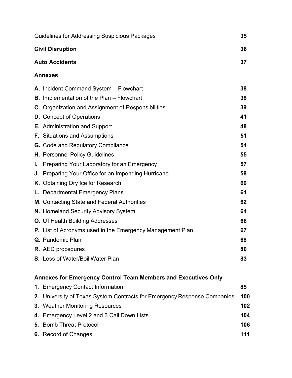|    | Guidelines for Addressing Suspicious Packages<br>35              |    |  |  |  |
|----|------------------------------------------------------------------|----|--|--|--|
|    | <b>Civil Disruption</b>                                          |    |  |  |  |
|    | <b>Auto Accidents</b>                                            | 37 |  |  |  |
|    | <b>Annexes</b>                                                   |    |  |  |  |
|    | A. Incident Command System - Flowchart                           | 38 |  |  |  |
|    | <b>B.</b> Implementation of the Plan – Flowchart                 | 38 |  |  |  |
|    | <b>C.</b> Organization and Assignment of Responsibilities        | 39 |  |  |  |
|    | <b>D.</b> Concept of Operations                                  | 41 |  |  |  |
|    | <b>E.</b> Administration and Support                             | 48 |  |  |  |
|    | <b>F.</b> Situations and Assumptions                             | 51 |  |  |  |
|    | <b>G.</b> Code and Regulatory Compliance                         | 54 |  |  |  |
|    | <b>H.</b> Personnel Policy Guidelines                            | 55 |  |  |  |
| L. | Preparing Your Laboratory for an Emergency                       | 57 |  |  |  |
|    | J. Preparing Your Office for an Impending Hurricane              | 58 |  |  |  |
|    | K. Obtaining Dry Ice for Research                                | 60 |  |  |  |
|    | L. Departmental Emergency Plans                                  | 61 |  |  |  |
|    | <b>M.</b> Contacting State and Federal Authorities               | 62 |  |  |  |
|    | N. Homeland Security Advisory System                             | 64 |  |  |  |
|    | <b>O.</b> UTHealth Building Addresses                            | 66 |  |  |  |
|    | <b>P.</b> List of Acronyms used in the Emergency Management Plan | 67 |  |  |  |
|    | <b>Q.</b> Pandemic Plan                                          | 68 |  |  |  |
|    | <b>R.</b> AED procedures                                         | 80 |  |  |  |
|    | S. Loss of Water/Boil Water Plan                                 | 83 |  |  |  |
|    | Annexes for Emergency Control Team Members and Executives Only   |    |  |  |  |

| 1. Emergency Contact Information                                         | 85  |
|--------------------------------------------------------------------------|-----|
| 2. University of Texas System Contracts for Emergency Response Companies | 100 |
| <b>3. Weather Monitoring Resources</b>                                   | 102 |
| 4. Emergency Level 2 and 3 Call Down Lists                               | 104 |
| <b>5.</b> Bomb Threat Protocol                                           | 106 |
| 6. Record of Changes                                                     | 111 |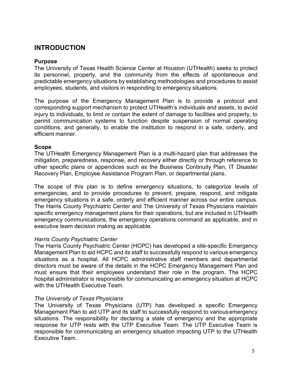# <span id="page-5-0"></span>**INTRODUCTION**

## **Purpose**

The University of Texas Health Science Center at Houston (UTHealth) seeks to protect its personnel, property, and the community from the effects of spontaneous and predictable emergency situations by establishing methodologies and procedures to assist employees, students, and visitors in responding to emergency situations.

The purpose of the Emergency Management Plan is to provide a protocol and corresponding support mechanism to protect UTHealth's individuals and assets, to avoid injury to individuals, to limit or contain the extent of damage to facilities and property, to permit communication systems to function despite suspension of normal operating conditions, and generally, to enable the institution to respond in a safe, orderly, and efficient manner.

## **Scope**

The UTHealth Emergency Management Plan is a multi-hazard plan that addresses the mitigation, preparedness, response, and recovery either directly or through reference to other specific plans or appendices such as the Business Continuity Plan, IT Disaster Recovery Plan, Employee Assistance Program Plan, or departmental plans.

The scope of this plan is to define emergency situations, to categorize levels of emergencies, and to provide procedures to prevent, prepare, respond, and mitigate emergency situations in a safe, orderly and efficient manner across our entire campus. The Harris County Psychiatric Center and The University of Texas Physicians maintain specific emergency management plans for their operations, but are included in UTHealth emergency communications, the emergency operations command as applicable, and in executive team decision making as applicable.

## *Harris County Psychiatric Center*

The Harris County Psychiatric Center (HCPC) has developed a site-specific Emergency Management Plan to aid HCPC and its staff to successfully respond to various emergency situations as a hospital. All HCPC administrative staff members and departmental directors must be aware of the details in the HCPC Emergency Management Plan and must ensure that their employees understand their role in the program. The HCPC hospital administrator is responsible for communicating an emergency situation at HCPC with the UTHealth Executive Team.

## *The University of Texas Physicians*

The University of Texas Physicians (UTP) has developed a specific Emergency Management Plan to aid UTP and its staff to successfully respond to variousemergency situations. The responsibility for declaring a state of emergency and the appropriate response for UTP rests with the UTP Executive Team. The UTP Executive Team is responsible for communicating an emergency situation impacting UTP to the UTHealth Executive Team.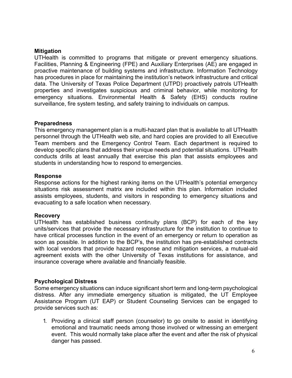## <span id="page-6-0"></span>**Mitigation**

UTHealth is committed to programs that mitigate or prevent emergency situations. Facilities, Planning & Engineering (FPE) and Auxiliary Enterprises (AE) are engaged in proactive maintenance of building systems and infrastructure. Information Technology has procedures in place for maintaining the institution's network infrastructure and critical data. The University of Texas Police Department (UTPD) proactively patrols UTHealth properties and investigates suspicious and criminal behavior, while monitoring for emergency situations. Environmental Health & Safety (EHS) conducts routine surveillance, fire system testing, and safety training to individuals on campus.

## **Preparedness**

This emergency management plan is a multi-hazard plan that is available to all UTHealth personnel through the UTHealth web site, and hard copies are provided to all Executive Team members and the Emergency Control Team. Each department is required to develop specific plans that address their unique needs and potential situations. UTHealth conducts drills at least annually that exercise this plan that assists employees and students in understanding how to respond to emergencies.

## **Response**

Response actions for the highest ranking items on the UTHealth's potential emergency situations risk assessment matrix are included within this plan. Information included assists employees, students, and visitors in responding to emergency situations and evacuating to a safe location when necessary.

## **Recovery**

UTHealth has established business continuity plans (BCP) for each of the key units/services that provide the necessary infrastructure for the institution to continue to have critical processes function in the event of an emergency or return to operation as soon as possible. In addition to the BCP's, the institution has pre-established contracts with local vendors that provide hazard response and mitigation services, a mutual-aid agreement exists with the other University of Texas institutions for assistance, and insurance coverage where available and financially feasible.

## **Psychological Distress**

Some emergency situations can induce significant short term and long-term psychological distress. After any immediate emergency situation is mitigated, the UT Employee Assistance Program (UT EAP) or Student Counseling Services can be engaged to provide services such as:

1. Providing a clinical staff person (counselor) to go onsite to assist in identifying emotional and traumatic needs among those involved or witnessing an emergent event. This would normally take place after the event and after the risk of physical danger has passed.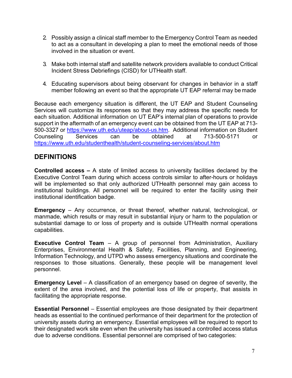- 2. Possibly assign a clinical staff member to the Emergency Control Team as needed to act as a consultant in developing a plan to meet the emotional needs of those involved in the situation or event.
- 3. Make both internal staff and satellite network providers available to conduct Critical Incident Stress Debriefings (CISD) for UTHealth staff.
- 4. Educating supervisors about being observant for changes in behavior in a staff member following an event so that the appropriate UT EAP referral may be made

Because each emergency situation is different, the UT EAP and Student Counseling Services will customize its responses so that they may address the specific needs for each situation. Additional information on UT EAP's internal plan of operations to provide support in the aftermath of an emergency event can be obtained from the UT EAP at 713- 500-3327 or [https://www.uth.edu/uteap/about-us.htm.](https://www.uth.edu/uteap/about-us.htm) Additional information on Student Counseling Services can be obtained at 713-500-5171 or <https://www.uth.edu/studenthealth/student-counseling-services/about.htm>

## <span id="page-7-0"></span>**DEFINITIONS**

**Controlled access –** A state of limited access to university facilities declared by the Executive Control Team during which access controls similar to after-hours or holidays will be implemented so that only authorized UTHealth personnel may gain access to institutional buildings. All personnel will be required to enter the facility using their institutional identification badge.

**Emergency** – Any occurrence, or threat thereof, whether natural, technological, or manmade, which results or may result in substantial injury or harm to the population or substantial damage to or loss of property and is outside UTHealth normal operations capabilities.

**Executive Control Team** – A group of personnel from Administration, Auxiliary Enterprises, Environmental Health & Safety, Facilities, Planning, and Engineering, Information Technology, and UTPD who assess emergency situations and coordinate the responses to those situations. Generally, these people will be management level personnel.

**Emergency Level** – A classification of an emergency based on degree of severity, the extent of the area involved, and the potential loss of life or property, that assists in facilitating the appropriate response.

**Essential Personnel** – Essential employees are those designated by their department heads as essential to the continued performance of their department for the protection of university assets during an emergency. Essential employees will be required to report to their designated work site even when the university has issued a controlled access status due to adverse conditions. Essential personnel are comprised of two categories: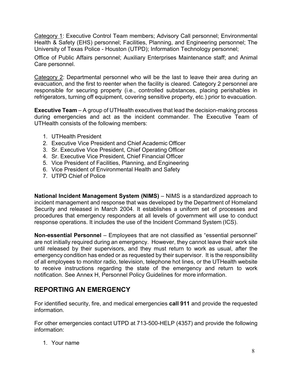Category 1: Executive Control Team members; Advisory Call personnel; Environmental Health & Safety (EHS) personnel; Facilities, Planning, and Engineering personnel; The University of Texas Police - Houston (UTPD); Information Technology personnel;

Office of Public Affairs personnel; Auxiliary Enterprises Maintenance staff; and Animal Care personnel.

Category 2: Departmental personnel who will be the last to leave their area during an evacuation, and the first to reenter when the facility is cleared. Category 2 personnel are responsible for securing property (i.e., controlled substances, placing perishables in refrigerators, turning off equipment, covering sensitive property, etc.) prior to evacuation.

**Executive Team** – A group of UTHealth executives that lead the decision-making process during emergencies and act as the incident commander. The Executive Team of UTHealth consists of the following members:

- 1. UTHealth President
- 2. Executive Vice President and Chief Academic Officer
- 3. Sr. Executive Vice President, Chief Operating Officer
- 4. Sr. Executive Vice President, Chief Financial Officer
- 5. Vice President of Facilities, Planning, and Engineering
- 6. Vice President of Environmental Health and Safety
- 7. UTPD Chief of Police

**National Incident Management System (NIMS)** – NIMS is a standardized approach to incident management and response that was developed by the Department of Homeland Security and released in March 2004. It establishes a uniform set of processes and procedures that emergency responders at all levels of government will use to conduct response operations. It includes the use of the Incident Command System (ICS).

**Non-essential Personnel** – Employees that are not classified as "essential personnel" are not initially required during an emergency. However, they cannot leave their work site until released by their supervisors, and they must return to work as usual, after the emergency condition has ended or as requested by their supervisor. It is the responsibility of all employees to monitor radio, television, telephone hot lines, or the UTHealth website to receive instructions regarding the state of the emergency and return to work notification. See Annex H, Personnel Policy Guidelines for more information.

# <span id="page-8-0"></span>**REPORTING AN EMERGENCY**

For identified security, fire, and medical emergencies **call 911** and provide the requested information.

For other emergencies contact UTPD at 713-500-HELP (4357) and provide the following information:

1. Your name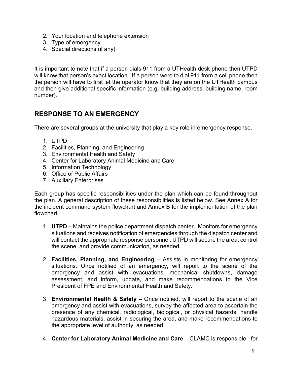- 2. Your location and telephone extension
- 3. Type of emergency
- 4. Special directions (if any)

It is important to note that if a person dials 911 from a UTHealth desk phone then UTPD will know that person's exact location. If a person were to dial 911 from a cell phone then the person will have to first let the operator know that they are on the UTHealth campus and then give additional specific information (e.g. building address, building name, room number).

# <span id="page-9-0"></span>**RESPONSE TO AN EMERGENCY**

There are several groups at the university that play a key role in emergency response.

- 1. UTPD
- 2. Facilities, Planning, and Engineering
- 3. Environmental Health and Safety
- 4. Center for Laboratory Animal Medicine and Care
- 5. Information Technology
- 6. Office of Public Affairs
- 7. Auxiliary Enterprises

Each group has specific responsibilities under the plan which can be found throughout the plan. A general description of these responsibilities is listed below. See Annex A for the incident command system flowchart and Annex B for the implementation of the plan flowchart.

- 1. **UTPD** Maintains the police department dispatch center. Monitors for emergency situations and receives notification of emergencies through the dispatch center and will contact the appropriate response personnel. UTPD will secure the area, control the scene, and provide communication, as needed.
- 2. **Facilities, Planning, and Engineering**  Assists in monitoring for emergency situations. Once notified of an emergency, will report to the scene of the emergency and assist with evacuations, mechanical shutdowns, damage assessment, and inform, update, and make recommendations to the Vice President of FPE and Environmental Health and Safety.
- 3. **Environmental Health & Safety**  Once notified, will report to the scene of an emergency and assist with evacuations, survey the affected area to ascertain the presence of any chemical, radiological, biological, or physical hazards, handle hazardous materials, assist in securing the area, and make recommendations to the appropriate level of authority, as needed.
- 4. **Center for Laboratory Animal Medicine and Care**  CLAMC is responsible for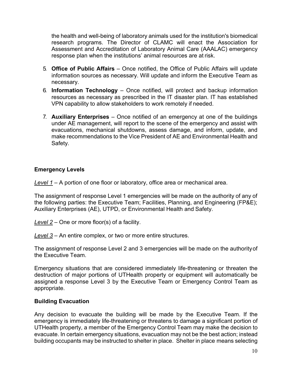the health and well-being of laboratory animals used for the institution's biomedical research programs. The Director of CLAMC will enact the Association for Assessment and Accreditation of Laboratory Animal Care (AAALAC) emergency response plan when the institutions' animal resources are at risk.

- 5. **Office of Public Affairs**  Once notified, the Office of Public Affairs will update information sources as necessary. Will update and inform the Executive Team as necessary.
- 6. **Information Technology**  Once notified, will protect and backup information resources as necessary as prescribed in the IT disaster plan. IT has established VPN capability to allow stakeholders to work remotely if needed.
- 7. **Auxiliary Enterprises**  Once notified of an emergency at one of the buildings under AE management, will report to the scene of the emergency and assist with evacuations, mechanical shutdowns, assess damage, and inform, update, and make recommendations to the Vice President of AE and Environmental Health and Safety.

## **Emergency Levels**

*Level 1* – A portion of one floor or laboratory, office area or mechanical area.

The assignment of response Level 1 emergencies will be made on the authority of any of the following parties: the Executive Team; Facilities, Planning, and Engineering (FP&E); Auxiliary Enterprises (AE), UTPD, or Environmental Health and Safety.

*Level 2* – One or more floor(s) of a facility.

*Level 3* – An entire complex, or two or more entire structures.

The assignment of response Level 2 and 3 emergencies will be made on the authorityof the Executive Team.

Emergency situations that are considered immediately life-threatening or threaten the destruction of major portions of UTHealth property or equipment will automatically be assigned a response Level 3 by the Executive Team or Emergency Control Team as appropriate.

## **Building Evacuation**

Any decision to evacuate the building will be made by the Executive Team. If the emergency is immediately life-threatening or threatens to damage a significant portion of UTHealth property, a member of the Emergency Control Team may make the decision to evacuate. In certain emergency situations, evacuation may not be the best action; instead building occupants may be instructed to shelter in place. Shelter in place means selecting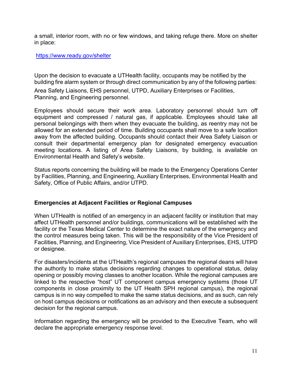a small, interior room, with no or few windows, and taking refuge there. More on shelter in place:

#### <https://www.ready.gov/shelter>

Upon the decision to evacuate a UTHealth facility, occupants may be notified by the building fire alarm system or through direct communication by any of the following parties:

Area Safety Liaisons, EHS personnel, UTPD, Auxiliary Enterprises or Facilities, Planning, and Engineering personnel.

Employees should secure their work area. Laboratory personnel should turn off equipment and compressed / natural gas, if applicable. Employees should take all personal belongings with them when they evacuate the building, as reentry may not be allowed for an extended period of time. Building occupants shall move to a safe location away from the affected building. Occupants should contact their Area Safety Liaison or consult their departmental emergency plan for designated emergency evacuation meeting locations. A listing of Area Safety Liaisons, by building, is available on Environmental Health and Safety's website.

Status reports concerning the building will be made to the Emergency Operations Center by Facilities, Planning, and Engineering, Auxiliary Enterprises, Environmental Health and Safety, Office of Public Affairs, and/or UTPD.

## **Emergencies at Adjacent Facilities or Regional Campuses**

When UTHealth is notified of an emergency in an adjacent facility or institution that may affect UTHealth personnel and/or buildings, communications will be established with the facility or the Texas Medical Center to determine the exact nature of the emergency and the control measures being taken. This will be the responsibility of the Vice President of Facilities, Planning, and Engineering, Vice President of Auxiliary Enterprises, EHS, UTPD or designee.

For disasters/incidents at the UTHealth's regional campuses the regional deans will have the authority to make status decisions regarding changes to operational status, delay opening or possibly moving classes to another location. While the regional campuses are linked to the respective "host" UT component campus emergency systems (those UT components in close proximity to the UT Health SPH regional campus), the regional campus is in no way compelled to make the same status decisions, and as such, can rely on host campus decisions or notifications as an advisory and then execute a subsequent decision for the regional campus.

Information regarding the emergency will be provided to the Executive Team, who will declare the appropriate emergency response level.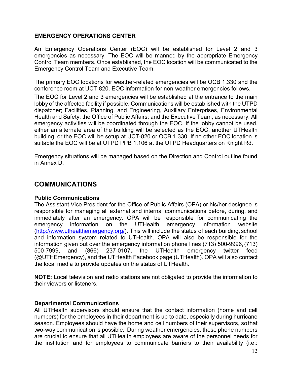## <span id="page-12-0"></span>**EMERGENCY OPERATIONS CENTER**

An Emergency Operations Center (EOC) will be established for Level 2 and 3 emergencies as necessary. The EOC will be manned by the appropriate Emergency Control Team members. Once established, the EOC location will be communicated to the Emergency Control Team and Executive Team.

The primary EOC locations for weather-related emergencies will be OCB 1.330 and the conference room at UCT-820. EOC information for non-weather emergencies follows.

The EOC for Level 2 and 3 emergencies will be established at the entrance to the main lobby of the affected facility if possible. Communications will be established with the UTPD dispatcher; Facilities, Planning, and Engineering, Auxiliary Enterprises, Environmental Health and Safety; the Office of Public Affairs; and the Executive Team, as necessary. All emergency activities will be coordinated through the EOC. If the lobby cannot be used, either an alternate area of the building will be selected as the EOC, another UTHealth building, or the EOC will be setup at UCT-820 or OCB 1.330. If no other EOC location is suitable the EOC will be at UTPD PPB 1.106 at the UTPD Headquarters on Knight Rd.

Emergency situations will be managed based on the Direction and Control outline found in Annex D.

## <span id="page-12-1"></span>**COMMUNICATIONS**

## **Public Communications**

The Assistant Vice President for the Office of Public Affairs (OPA) or his/her designee is responsible for managing all external and internal communications before, during, and immediately after an emergency. OPA will be responsible for communicating the emergency information on the UTHealth emergency information website [\(http://www.uthealthemergency.org/\)](http://www.uthealthemergency.org/). This will include the status of each building, school and information system related to UTHealth. OPA will also be responsible for the information given out over the emergency information phone lines (713) 500-9996,(713) 500-7999, and (866) 237-0107, the UTHealth emergency twitter feed (@UTHEmergency), and the UTHealth Facebook page (UTHealth). OPA will also contact the local media to provide updates on the status of UTHealth.

**NOTE:** Local television and radio stations are not obligated to provide the information to their viewers or listeners.

## **Departmental Communications**

All UTHealth supervisors should ensure that the contact information (home and cell numbers) for the employees in their department is up to date, especially during hurricane season. Employees should have the home and cell numbers of their supervisors, sothat two-way communication is possible. During weather emergencies, these phone numbers are crucial to ensure that all UTHealth employees are aware of the personnel needs for the institution and for employees to communicate barriers to their availability (i.e.: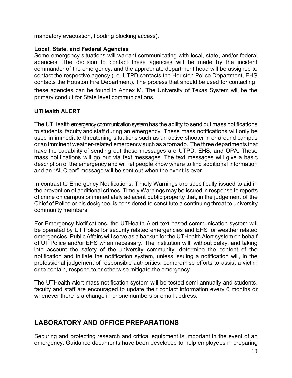mandatory evacuation, flooding blocking access).

## **Local, State, and Federal Agencies**

Some emergency situations will warrant communicating with local, state, and/or federal agencies. The decision to contact these agencies will be made by the incident commander of the emergency, and the appropriate department head will be assigned to contact the respective agency (i.e. UTPD contacts the Houston Police Department, EHS contacts the Houston Fire Department). The process that should be used for contacting these agencies can be found in Annex M. The University of Texas System will be the primary conduit for State level communications.

## **UTHealth ALERT**

The UTHealth emergency communication system has the ability to send out mass notifications to students, faculty and staff during an emergency. These mass notifications will only be used in immediate threatening situations such as an active shooter in or around campus or an imminent weather-related emergency such as a tornado. The three departments that have the capability of sending out these messages are UTPD, EHS, and OPA. These mass notifications will go out via text messages. The text messages will give a basic description of the emergency and will let people know where to find additional information and an "All Clear" message will be sent out when the event is over.

In contrast to Emergency Notifications, Timely Warnings are specifically issued to aid in the prevention of additional crimes. Timely Warnings may be issued in response to reports of crime on campus or immediately adjacent public property that, in the judgement of the Chief of Police or his designee, is considered to constitute a continuing threat to university community members.

For Emergency Notifications, the UTHealth Alert text-based communication system will be operated by UT Police for security related emergencies and EHS for weather related emergencies. Public Affairs will serve as a backup for the UTHealth Alert system on behalf of UT Police and/or EHS when necessary. The institution will, without delay, and taking into account the safety of the university community, determine the content of the notification and initiate the notification system, unless issuing a notification will, in the professional judgement of responsible authorities, compromise efforts to assist a victim or to contain, respond to or otherwise mitigate the emergency.

The UTHealth Alert mass notification system will be tested semi-annually and students, faculty and staff are encouraged to update their contact information every 6 months or whenever there is a change in phone numbers or email address.

# <span id="page-13-0"></span>**LABORATORY AND OFFICE PREPARATIONS**

Securing and protecting research and critical equipment is important in the event of an emergency. Guidance documents have been developed to help employees in preparing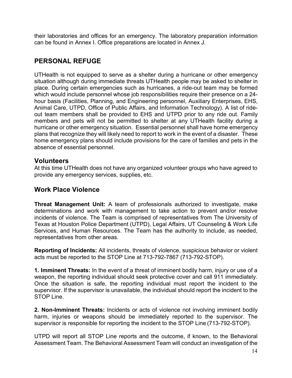their laboratories and offices for an emergency. The laboratory preparation information can be found in Annex I. Office preparations are located in Annex J.

# <span id="page-14-0"></span>**PERSONAL REFUGE**

UTHealth is not equipped to serve as a shelter during a hurricane or other emergency situation although during immediate threats UTHealth people may be asked to shelter in place. During certain emergencies such as hurricanes, a ride-out team may be formed which would include personnel whose job responsibilities require their presence on a 24 hour basis (Facilities, Planning, and Engineering personnel, Auxiliary Enterprises, EHS, Animal Care, UTPD, Office of Public Affairs, and Information Technology). A list of rideout team members shall be provided to EHS and UTPD prior to any ride out. Family members and pets will not be permitted to shelter at any UTHealth facility during a hurricane or other emergency situation. Essential personnel shall have home emergency plans that recognize they will likely need to report to work in the event of a disaster. These home emergency plans should include provisions for the care of families and pets in the absence of essential personnel.

## **Volunteers**

At this time UTHealth does not have any organized volunteer groups who have agreed to provide any emergency services, supplies, etc.

## **Work Place Violence**

**Threat Management Unit:** A team of professionals authorized to investigate, make determinations and work with management to take action to prevent and/or resolve incidents of violence. The Team is comprised of representatives from The University of Texas at Houston Police Department (UTPD), Legal Affairs, UT Counseling & Work Life Services, and Human Resources. The Team has the authority to include, as needed, representatives from other areas.

**Reporting of Incidents:** All incidents, threats of violence, suspicious behavior or violent acts must be reported to the STOP Line at 713-792-7867 (713-792-STOP).

**1. Imminent Threats:** In the event of a threat of imminent bodily harm, injury or use of a weapon, the reporting individual should seek protective cover and call 911 immediately. Once the situation is safe, the reporting individual must report the incident to the supervisor. If the supervisor is unavailable, the individual should report the incident to the STOP Line.

**2. Non-Imminent Threats:** Incidents or acts of violence not involving imminent bodily harm, injuries or weapons should be immediately reported to the supervisor. The supervisor is responsible for reporting the incident to the STOP Line (713-792-STOP).

UTPD will report all STOP Line reports and the outcome, if known, to the Behavioral Assessment Team. The Behavioral Assessment Team will conduct an investigation of the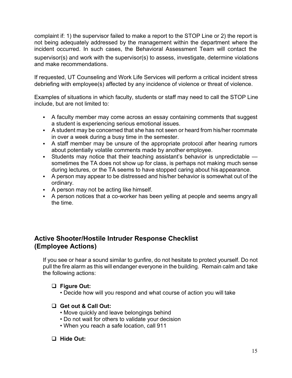complaint if: 1) the supervisor failed to make a report to the STOP Line or 2) the report is not being adequately addressed by the management within the department where the incident occurred. In such cases, the Behavioral Assessment Team will contact the supervisor(s) and work with the supervisor(s) to assess, investigate, determine violations and make recommendations.

If requested, UT Counseling and Work Life Services will perform a critical incident stress debriefing with employee(s) affected by any incidence of violence or threat of violence.

Examples of situations in which faculty, students or staff may need to call the STOP Line include, but are not limited to:

- A faculty member may come across an essay containing comments that suggest a student is experiencing serious emotional issues.
- A student may be concerned that she has not seen or heard from his/her roommate in over a week during a busy time in the semester.
- A staff member may be unsure of the appropriate protocol after hearing rumors about potentially volatile comments made by another employee.
- Students may notice that their teaching assistant's behavior is unpredictable sometimes the TA does not show up for class, is perhaps not making much sense during lectures, or the TA seems to have stopped caring about his appearance.
- A person may appear to be distressed and his/her behavior is somewhat out of the ordinary.
- A person may not be acting like himself.
- A person notices that a co-worker has been yelling at people and seems angryall the time.

# **Active Shooter/Hostile Intruder Response Checklist (Employee Actions)**

If you see or hear a sound similar to gunfire, do not hesitate to protect yourself. Do not pull the fire alarm as this will endanger everyone in the building. Remain calm and take the following actions:

## **Figure Out:**

- Decide how will you respond and what course of action you will take
- **Get out & Call Out:**
	- Move quickly and leave belongings behind
	- Do not wait for others to validate your decision
	- When you reach a safe location, call 911

## **Hide Out:**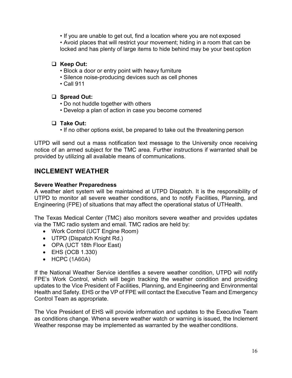• If you are unable to get out, find a location where you are not exposed

• Avoid places that will restrict your movement; hiding in a room that can be locked and has plenty of large items to hide behind may be your best option

## **Keep Out:**

- Block a door or entry point with heavy furniture
- Silence noise-producing devices such as cell phones
- Call 911

## **Spread Out:**

- Do not huddle together with others
- Develop a plan of action in case you become cornered

## **Take Out:**

• If no other options exist, be prepared to take out the threatening person

UTPD will send out a mass notification text message to the University once receiving notice of an armed subject for the TMC area. Further instructions if warranted shall be provided by utilizing all available means of communications.

# **INCLEMENT WEATHER**

## <span id="page-16-0"></span>**Severe Weather Preparedness**

A weather alert system will be maintained at UTPD Dispatch. It is the responsibility of UTPD to monitor all severe weather conditions, and to notify Facilities, Planning, and Engineering (FPE) of situations that may affect the operational status of UTHealth.

The Texas Medical Center (TMC) also monitors severe weather and provides updates via the TMC radio system and email. TMC radios are held by:

- Work Control (UCT Engine Room)
- UTPD (Dispatch Knight Rd.)
- OPA (UCT 18th Floor East)
- EHS (OCB 1.330)
- HCPC (1A60A)

If the National Weather Service identifies a severe weather condition, UTPD will notify FPE's Work Control, which will begin tracking the weather condition and providing updates to the Vice President of Facilities, Planning, and Engineering and Environmental Health and Safety. EHS or the VP of FPE will contact the Executive Team and Emergency Control Team as appropriate.

The Vice President of EHS will provide information and updates to the Executive Team as conditions change. Whena severe weather watch or warning is issued, the Inclement Weather response may be implemented as warranted by the weather conditions.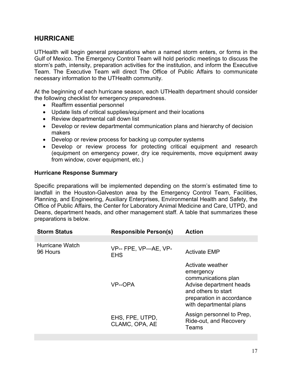## **HURRICANE**

UTHealth will begin general preparations when a named storm enters, or forms in the Gulf of Mexico. The Emergency Control Team will hold periodic meetings to discuss the storm's path, intensity, preparation activities for the institution, and inform the Executive Team. The Executive Team will direct The Office of Public Affairs to communicate necessary information to the UTHealth community.

At the beginning of each hurricane season, each UTHealth department should consider the following checklist for emergency preparedness.

- Reaffirm essential personnel
- Update lists of critical supplies/equipment and their locations
- Review departmental call down list
- Develop or review departmental communication plans and hierarchy of decision makers
- Develop or review process for backing up computer systems
- Develop or review process for protecting critical equipment and research (equipment on emergency power, dry ice requirements, move equipment away from window, cover equipment, etc.)

## <span id="page-17-0"></span>**Hurricane Response Summary**

Specific preparations will be implemented depending on the storm's estimated time to landfall in the Houston-Galveston area by the Emergency Control Team, Facilities, Planning, and Engineering, Auxiliary Enterprises, Environmental Health and Safety, the Office of Public Affairs, the Center for Laboratory Animal Medicine and Care, UTPD, and Deans, department heads, and other management staff. A table that summarizes these preparations is below.

| <b>Storm Status</b>         | <b>Responsible Person(s)</b>       | <b>Action</b>                                                                                                                                                  |
|-----------------------------|------------------------------------|----------------------------------------------------------------------------------------------------------------------------------------------------------------|
|                             |                                    |                                                                                                                                                                |
| Hurricane Watch<br>96 Hours | VP-- FPE, VP-AE, VP-<br><b>EHS</b> | <b>Activate EMP</b>                                                                                                                                            |
|                             | VP--OPA                            | Activate weather<br>emergency<br>communications plan<br>Advise department heads<br>and others to start<br>preparation in accordance<br>with departmental plans |
|                             | EHS, FPE, UTPD,<br>CLAMC, OPA, AE  | Assign personnel to Prep,<br>Ride-out, and Recovery<br>Teams                                                                                                   |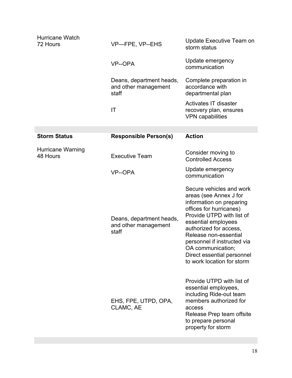| <b>Hurricane Watch</b><br>72 Hours   | VP-FPE, VP--EHS                                           | Update Executive Team on<br>storm status                                                                                                                                                                                                                                                                                         |
|--------------------------------------|-----------------------------------------------------------|----------------------------------------------------------------------------------------------------------------------------------------------------------------------------------------------------------------------------------------------------------------------------------------------------------------------------------|
|                                      | VP--OPA                                                   | Update emergency<br>communication                                                                                                                                                                                                                                                                                                |
|                                      | Deans, department heads,<br>and other management<br>staff | Complete preparation in<br>accordance with<br>departmental plan                                                                                                                                                                                                                                                                  |
|                                      | IT                                                        | Activates IT disaster<br>recovery plan, ensures<br><b>VPN</b> capabilities                                                                                                                                                                                                                                                       |
|                                      |                                                           |                                                                                                                                                                                                                                                                                                                                  |
| <b>Storm Status</b>                  | <b>Responsible Person(s)</b>                              | <b>Action</b>                                                                                                                                                                                                                                                                                                                    |
| <b>Hurricane Warning</b><br>48 Hours | <b>Executive Team</b>                                     | Consider moving to<br><b>Controlled Access</b>                                                                                                                                                                                                                                                                                   |
|                                      | VP--OPA                                                   | Update emergency<br>communication                                                                                                                                                                                                                                                                                                |
|                                      | Deans, department heads,<br>and other management<br>staff | Secure vehicles and work<br>areas (see Annex J for<br>information on preparing<br>offices for hurricanes)<br>Provide UTPD with list of<br>essential employees<br>authorized for access,<br>Release non-essential<br>personnel if instructed via<br>OA communication;<br>Direct essential personnel<br>to work location for storm |
|                                      | EHS, FPE, UTPD, OPA,<br>CLAMC, AE                         | Provide UTPD with list of<br>essential employees,<br>including Ride-out team<br>members authorized for<br>access<br>Release Prep team offsite<br>to prepare personal<br>property for storm                                                                                                                                       |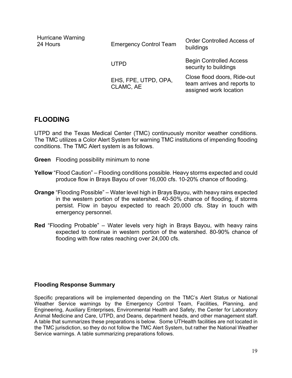| Hurricane Warning<br>24 Hours | <b>Emergency Control Team</b>     | <b>Order Controlled Access of</b><br>buildings                                       |
|-------------------------------|-----------------------------------|--------------------------------------------------------------------------------------|
|                               | <b>UTPD</b>                       | <b>Begin Controlled Access</b><br>security to buildings                              |
|                               | EHS, FPE, UTPD, OPA,<br>CLAMC, AE | Close flood doors, Ride-out<br>team arrives and reports to<br>assigned work location |

## **FLOODING**

UTPD and the Texas Medical Center (TMC) continuously monitor weather conditions. The TMC utilizes a Color Alert System for warning TMC institutions of impending flooding conditions. The TMC Alert system is as follows.

- **Green** Flooding possibility minimum to none
- **Yellow** "Flood Caution" Flooding conditions possible. Heavy storms expected and could produce flow in Brays Bayou of over 16,000 cfs. 10-20% chance of flooding.
- **Orange** "Flooding Possible" Water level high in Brays Bayou, with heavy rains expected in the western portion of the watershed. 40-50% chance of flooding, if storms persist. Flow in bayou expected to reach 20,000 cfs. Stay in touch with emergency personnel.
- **Red** "Flooding Probable" Water levels very high in Brays Bayou, with heavy rains expected to continue in western portion of the watershed. 80-90% chance of flooding with flow rates reaching over 24,000 cfs.

## <span id="page-19-0"></span>**Flooding Response Summary**

Specific preparations will be implemented depending on the TMC's Alert Status or National Weather Service warnings by the Emergency Control Team, Facilities, Planning, and Engineering, Auxiliary Enterprises, Environmental Health and Safety, the Center for Laboratory Animal Medicine and Care, UTPD, and Deans, department heads, and other management staff. A table that summarizes these preparations is below. Some UTHealth facilities are not located in the TMC jurisdiction, so they do not follow the TMC Alert System, but rather the National Weather Service warnings. A table summarizing preparations follows.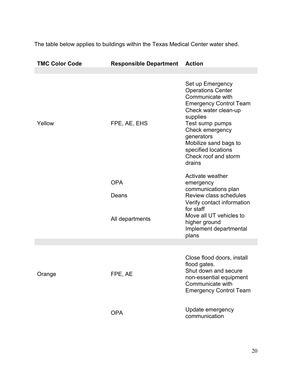The table below applies to buildings within the Texas Medical Center water shed.

| <b>TMC Color Code</b> | <b>Responsible Department Action</b> |                                                                                                                                                                                                                                                                             |
|-----------------------|--------------------------------------|-----------------------------------------------------------------------------------------------------------------------------------------------------------------------------------------------------------------------------------------------------------------------------|
|                       |                                      |                                                                                                                                                                                                                                                                             |
| Yellow                | FPE, AE, EHS                         | Set up Emergency<br><b>Operations Center</b><br>Communicate with<br><b>Emergency Control Team</b><br>Check water clean-up<br>supplies<br>Test sump pumps<br>Check emergency<br>generators<br>Mobilize sand bags to<br>specified locations<br>Check roof and storm<br>drains |
|                       | <b>OPA</b>                           | Activate weather<br>emergency                                                                                                                                                                                                                                               |
|                       | Deans                                | communications plan<br><b>Review class schedules</b><br>Verify contact information<br>for staff                                                                                                                                                                             |
|                       | All departments                      | Move all UT vehicles to<br>higher ground<br>Implement departmental<br>plans                                                                                                                                                                                                 |
|                       |                                      |                                                                                                                                                                                                                                                                             |
| Orange                | FPE, AE                              | Close flood doors, install<br>flood gates.<br>Shut down and secure<br>non-essential equipment<br>Communicate with<br><b>Emergency Control Team</b>                                                                                                                          |
|                       | <b>OPA</b>                           | Update emergency<br>communication                                                                                                                                                                                                                                           |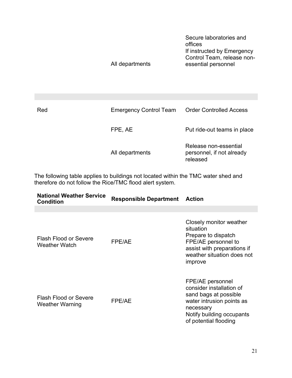|     | All departments               | Secure laboratories and<br>offices<br>If instructed by Emergency<br>Control Team, release non-<br>essential personnel |
|-----|-------------------------------|-----------------------------------------------------------------------------------------------------------------------|
|     |                               |                                                                                                                       |
| Red | <b>Emergency Control Team</b> | <b>Order Controlled Access</b>                                                                                        |
|     | FPE, AE                       | Put ride-out teams in place                                                                                           |

All departments Release non-essential personnel, if not already released

The following table applies to buildings not located within the TMC water shed and therefore do not follow the Rice/TMC flood alert system.

| <b>National Weather Service</b><br><b>Condition</b> | <b>Responsible Department</b> | <b>Action</b>                                                                                                                                                         |
|-----------------------------------------------------|-------------------------------|-----------------------------------------------------------------------------------------------------------------------------------------------------------------------|
| Flash Flood or Severe<br><b>Weather Watch</b>       | FPE/AE                        | Closely monitor weather<br>situation<br>Prepare to dispatch<br>FPE/AE personnel to<br>assist with preparations if<br>weather situation does not<br>improve            |
| <b>Flash Flood or Severe</b><br>Weather Warning     | FPE/AE                        | FPE/AE personnel<br>consider installation of<br>sand bags at possible<br>water intrusion points as<br>necessary<br>Notify building occupants<br>of potential flooding |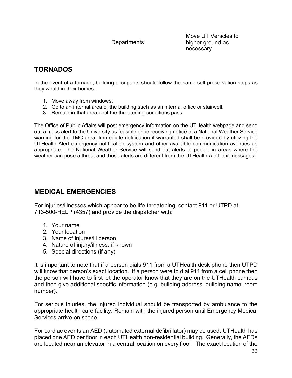**Departments** 

Move UT Vehicles to higher ground as necessary

# <span id="page-22-0"></span>**TORNADOS**

In the event of a tornado, building occupants should follow the same self-preservation steps as they would in their homes.

- 1. Move away from windows.
- 2. Go to an internal area of the building such as an internal office or stairwell.
- 3. Remain in that area until the threatening conditions pass.

The Office of Public Affairs will post emergency information on the UTHealth webpage and send out a mass alert to the University as feasible once receiving notice of a National Weather Service warning for the TMC area. Immediate notification if warranted shall be provided by utilizing the UTHealth Alert emergency notification system and other available communication avenues as appropriate. The National Weather Service will send out alerts to people in areas where the weather can pose a threat and those alerts are different from the UTHealth Alert text messages.

# <span id="page-22-1"></span>**MEDICAL EMERGENCIES**

For injuries/illnesses which appear to be life threatening, contact 911 or UTPD at 713-500-HELP (4357) and provide the dispatcher with:

- 1. Your name
- 2. Your location
- 3. Name of injures/ill person
- 4. Nature of injury/illness, if known
- 5. Special directions (if any)

It is important to note that if a person dials 911 from a UTHealth desk phone then UTPD will know that person's exact location. If a person were to dial 911 from a cell phone then the person will have to first let the operator know that they are on the UTHealth campus and then give additional specific information (e.g. building address, building name, room number).

For serious injuries, the injured individual should be transported by ambulance to the appropriate health care facility. Remain with the injured person until Emergency Medical Services arrive on scene.

For cardiac events an AED (automated external defibrillator) may be used. UTHealth has placed one AED per floor in each UTHealth non-residential building. Generally, the AEDs are located near an elevator in a central location on every floor. The exact location of the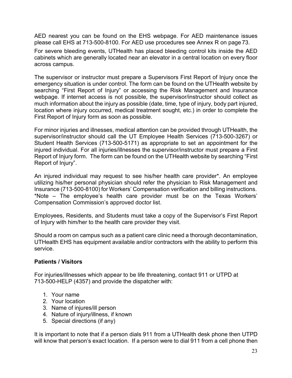AED nearest you can be found on the EHS webpage. For AED maintenance issues please call EHS at 713-500-8100. For AED use procedures see Annex R on page 73.

For severe bleeding events, UTHealth has placed bleeding control kits inside the AED cabinets which are generally located near an elevator in a central location on every floor across campus.

The supervisor or instructor must prepare a Supervisors First Report of Injury once the emergency situation is under control. The form can be found on the UTHealth website by searching "First Report of Injury" or accessing the Risk Management and Insurance webpage. If internet access is not possible, the supervisor/instructor should collect as much information about the injury as possible (date, time, type of injury, body part injured, location where injury occurred, medical treatment sought, etc.) in order to complete the First Report of Injury form as soon as possible.

For minor injuries and illnesses, medical attention can be provided through UTHealth, the supervisor/instructor should call the UT Employee Health Services (713-500-3267) or Student Health Services (713-500-5171) as appropriate to set an appointment for the injured individual. For all injuries/illnesses the supervisor/instructor must prepare a First Report of Injury form. The form can be found on the UTHealth website by searching "First Report of Injury".

An injured individual may request to see his/her health care provider\*. An employee utilizing his/her personal physician should refer the physician to Risk Management and Insurance (713-500-8100) for Workers' Compensation verification and billing instructions. \*Note – The employee's health care provider must be on the Texas Workers' Compensation Commission's approved doctor list.

Employees, Residents, and Students must take a copy of the Supervisor's First Report of Injury with him/her to the health care provider they visit.

Should a room on campus such as a patient care clinic need a thorough decontamination, UTHealth EHS has equipment available and/or contractors with the ability to perform this service.

## <span id="page-23-0"></span>**Patients / Visitors**

For injuries/illnesses which appear to be life threatening, contact 911 or UTPD at 713-500-HELP (4357) and provide the dispatcher with:

- 1. Your name
- 2. Your location
- 3. Name of injures/ill person
- 4. Nature of injury/illness, if known
- 5. Special directions (if any)

It is important to note that if a person dials 911 from a UTHealth desk phone then UTPD will know that person's exact location. If a person were to dial 911 from a cell phone then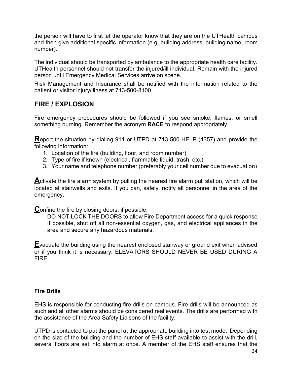the person will have to first let the operator know that they are on the UTHealth campus and then give additional specific information (e.g. building address, building name, room number).

The individual should be transported by ambulance to the appropriate health care facility. UTHealth personnel should not transfer the injured/ill individual. Remain with the injured person until Emergency Medical Services arrive on scene.

Risk Management and Insurance shall be notified with the information related to the patient or visitor injury/illness at 713-500-8100.

# **FIRE / EXPLOSION**

Fire emergency procedures should be followed if you see smoke, flames, or smell something burning. Remember the acronym **RACE** to respond appropriately.

**R**eport the situation by dialing 911 or UTPD at 713-500-HELP (4357) and provide the following information:

- 1. Location of the fire (building, floor, and room number)
- 2. Type of fire if known (electrical, flammable liquid, trash, etc.)
- 3. Your name and telephone number (preferably your cell number due to evacuation)

**A**ctivate the fire alarm system by pulling the nearest fire alarm pull station, which will be located at stairwells and exits. If you can, safely, notify all personnel in the area of the emergency.

**C**onfine the fire by closing doors, if possible.

DO NOT LOCK THE DOORS to allow Fire Department access for a quick response If possible, shut off all non-essential oxygen, gas, and electrical appliances in the area and secure any hazardous materials.

**E**vacuate the building using the nearest enclosed stairway or ground exit when advised or if you think it is necessary. ELEVATORS SHOULD NEVER BE USED DURING A **FIRF** 

## **Fire Drills**

EHS is responsible for conducting fire drills on campus. Fire drills will be announced as such and all other alarms should be considered real events. The drills are performed with the assistance of the Area Safety Liaisons of the facility.

UTPD is contacted to put the panel at the appropriate building into test mode. Depending on the size of the building and the number of EHS staff available to assist with the drill, several floors are set into alarm at once. A member of the EHS staff ensures that the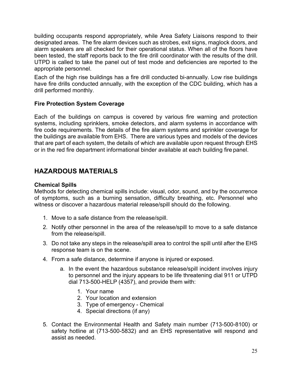building occupants respond appropriately, while Area Safety Liaisons respond to their designated areas. The fire alarm devices such as strobes, exit signs, maglock doors, and alarm speakers are all checked for their operational status. When all of the floors have been tested, the staff reports back to the fire drill coordinator with the results of the drill. UTPD is called to take the panel out of test mode and deficiencies are reported to the appropriate personnel.

Each of the high rise buildings has a fire drill conducted bi-annually. Low rise buildings have fire drills conducted annually, with the exception of the CDC building, which has a drill performed monthly.

## **Fire Protection System Coverage**

Each of the buildings on campus is covered by various fire warning and protection systems, including sprinklers, smoke detectors, and alarm systems in accordance with fire code requirements. The details of the fire alarm systems and sprinkler coverage for the buildings are available from EHS. There are various types and models of the devices that are part of each system, the details of which are available upon request through EHS or in the red fire department informational binder available at each building fire panel.

# **HAZARDOUS MATERIALS**

## **Chemical Spills**

Methods for detecting chemical spills include: visual, odor, sound, and by the occurrence of symptoms, such as a burning sensation, difficulty breathing, etc. Personnel who witness or discover a hazardous material release/spill should do the following.

- 1. Move to a safe distance from the release/spill.
- 2. Notify other personnel in the area of the release/spill to move to a safe distance from the release/spill.
- 3. Do not take any steps in the release/spill area to control the spill until after the EHS response team is on the scene.
- 4. From a safe distance, determine if anyone is injured or exposed.
	- a. In the event the hazardous substance release/spill incident involves injury to personnel and the injury appears to be life threatening dial 911 or UTPD dial 713-500-HELP (4357), and provide them with:
		- 1. Your name
		- 2. Your location and extension
		- 3. Type of emergency Chemical
		- 4. Special directions (if any)
- 5. Contact the Environmental Health and Safety main number (713-500-8100) or safety hotline at (713-500-5832) and an EHS representative will respond and assist as needed.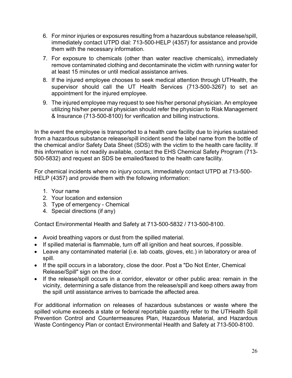- 6. For minor injuries or exposures resulting from a hazardous substance release/spill, immediately contact UTPD dial: 713-500-HELP (4357) for assistance and provide them with the necessary information.
- 7. For exposure to chemicals (other than water reactive chemicals), immediately remove contaminated clothing and decontaminate the victim with running water for at least 15 minutes or until medical assistance arrives.
- 8. If the injured employee chooses to seek medical attention through UTHealth, the supervisor should call the UT Health Services (713-500-3267) to set an appointment for the injured employee.
- 9. The injured employee may request to see his/her personal physician. An employee utilizing his/her personal physician should refer the physician to Risk Management & Insurance (713-500-8100) for verification and billing instructions.

In the event the employee is transported to a health care facility due to injuries sustained from a hazardous substance release/spill incident send the label name from the bottle of the chemical and/or Safety Data Sheet (SDS) with the victim to the health care facility. If this information is not readily available, contact the EHS Chemical Safety Program (713- 500-5832) and request an SDS be emailed/faxed to the health care facility.

For chemical incidents where no injury occurs, immediately contact UTPD at 713-500- HELP (4357) and provide them with the following information:

- 1. Your name
- 2. Your location and extension
- 3. Type of emergency Chemical
- 4. Special directions (if any)

Contact Environmental Health and Safety at 713-500-5832 / 713-500-8100.

- Avoid breathing vapors or dust from the spilled material.
- If spilled material is flammable, turn off all ignition and heat sources, if possible.
- Leave any contaminated material (i.e. lab coats, gloves, etc.) in laboratory or area of spill.
- If the spill occurs in a laboratory, close the door. Post a "Do Not Enter, Chemical Release/Spill" sign on the door.
- If the release/spill occurs in a corridor, elevator or other public area: remain in the vicinity, determining a safe distance from the release/spill and keep others away from the spill until assistance arrives to barricade the affected area.

For additional information on releases of hazardous substances or waste where the spilled volume exceeds a state or federal reportable quantity refer to the UTHealth Spill Prevention Control and Countermeasures Plan, Hazardous Material, and Hazardous Waste Contingency Plan or contact Environmental Health and Safety at 713-500-8100.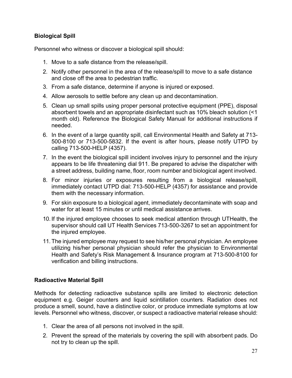## **Biological Spill**

Personnel who witness or discover a biological spill should:

- 1. Move to a safe distance from the release/spill.
- 2. Notify other personnel in the area of the release/spill to move to a safe distance and close off the area to pedestrian traffic.
- 3. From a safe distance, determine if anyone is injured or exposed.
- 4. Allow aerosols to settle before any clean up and decontamination.
- 5. Clean up small spills using proper personal protective equipment (PPE), disposal absorbent towels and an appropriate disinfectant such as 10% bleach solution (<1 month old). Reference the Biological Safety Manual for additional instructions if needed.
- 6. In the event of a large quantity spill, call Environmental Health and Safety at 713- 500-8100 or 713-500-5832. If the event is after hours, please notify UTPD by calling 713-500-HELP (4357).
- 7. In the event the biological spill incident involves injury to personnel and the injury appears to be life threatening dial 911. Be prepared to advise the dispatcher with a street address, building name, floor, room number and biological agent involved.
- 8. For minor injuries or exposures resulting from a biological release/spill, immediately contact UTPD dial: 713-500-HELP (4357) for assistance and provide them with the necessary information.
- 9. For skin exposure to a biological agent, immediately decontaminate with soap and water for at least 15 minutes or until medical assistance arrives.
- 10. If the injured employee chooses to seek medical attention through UTHealth, the supervisor should call UT Health Services 713-500-3267 to set an appointment for the injured employee.
- 11. The injured employee may request to see his/her personal physician. An employee utilizing his/her personal physician should refer the physician to Environmental Health and Safety's Risk Management & Insurance program at 713-500-8100 for verification and billing instructions.

## **Radioactive Material Spill**

Methods for detecting radioactive substance spills are limited to electronic detection equipment e.g. Geiger counters and liquid scintillation counters. Radiation does not produce a smell, sound, have a distinctive color, or produce immediate symptoms at low levels. Personnel who witness, discover, or suspect a radioactive material release should:

- 1. Clear the area of all persons not involved in the spill.
- 2. Prevent the spread of the materials by covering the spill with absorbent pads. Do not try to clean up the spill.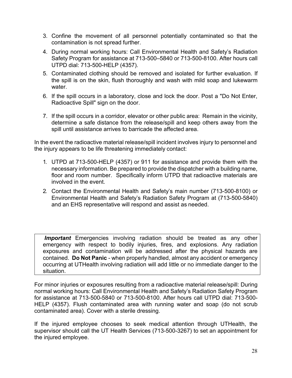- 3. Confine the movement of all personnel potentially contaminated so that the contamination is not spread further.
- 4. During normal working hours: Call Environmental Health and Safety's Radiation Safety Program for assistance at 713-500–5840 or 713-500-8100. After hours call UTPD dial: 713-500-HELP (4357).
- 5. Contaminated clothing should be removed and isolated for further evaluation. If the spill is on the skin, flush thoroughly and wash with mild soap and lukewarm water.
- 6. If the spill occurs in a laboratory, close and lock the door. Post a "Do Not Enter, Radioactive Spill" sign on the door.
- 7. If the spill occurs in a corridor, elevator or other public area: Remain in the vicinity, determine a safe distance from the release/spill and keep others away from the spill until assistance arrives to barricade the affected area.

In the event the radioactive material release/spill incident involves injury to personnel and the injury appears to be life threatening immediately contact:

- 1. UTPD at 713-500-HELP (4357) or 911 for assistance and provide them with the necessary information. Be prepared to provide the dispatcher with a building name, floor and room number. Specifically inform UTPD that radioactive materials are involved in the event.
- 2. Contact the Environmental Health and Safety's main number (713-500-8100) or Environmental Health and Safety's Radiation Safety Program at (713-500-5840) and an EHS representative will respond and assist as needed.

**Important** Emergencies involving radiation should be treated as any other emergency with respect to bodily injuries, fires, and explosions. Any radiation exposures and contamination will be addressed after the physical hazards are contained. **Do Not Panic** - when properly handled, almost any accident or emergency occurring at UTHealth involving radiation will add little or no immediate danger to the situation.

For minor injuries or exposures resulting from a radioactive material release/spill: During normal working hours: Call Environmental Health and Safety's Radiation Safety Program for assistance at 713-500-5840 or 713-500-8100. After hours call UTPD dial: 713-500- HELP (4357). Flush contaminated area with running water and soap (do not scrub contaminated area). Cover with a sterile dressing.

If the injured employee chooses to seek medical attention through UTHealth, the supervisor should call the UT Health Services (713-500-3267) to set an appointment for the injured employee.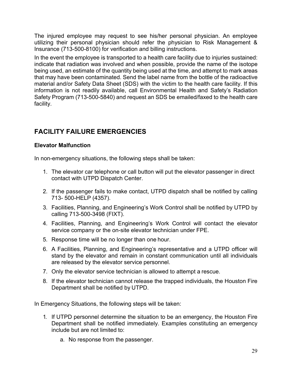The injured employee may request to see his/her personal physician. An employee utilizing their personal physician should refer the physician to Risk Management & Insurance (713-500-8100) for verification and billing instructions.

In the event the employee is transported to a health care facility due to injuries sustained: indicate that radiation was involved and when possible, provide the name of the isotope being used, an estimate of the quantity being used at the time, and attempt to mark areas that may have been contaminated. Send the label name from the bottle of the radioactive material and/or Safety Data Sheet (SDS) with the victim to the health care facility. If this information is not readily available, call Environmental Health and Safety's Radiation Safety Program (713-500-5840) and request an SDS be emailed/faxed to the health care facility.

# <span id="page-29-0"></span>**FACILITY FAILURE EMERGENCIES**

## **Elevator Malfunction**

In non-emergency situations, the following steps shall be taken:

- 1. The elevator car telephone or call button will put the elevator passenger in direct contact with UTPD Dispatch Center.
- 2. If the passenger fails to make contact, UTPD dispatch shall be notified by calling 713- 500-HELP (4357).
- 3. Facilities, Planning, and Engineering's Work Control shall be notified by UTPD by calling 713-500-3498 (FIXT).
- 4. Facilities, Planning, and Engineering's Work Control will contact the elevator service company or the on-site elevator technician under FPE.
- 5. Response time will be no longer than one hour.
- 6. A Facilities, Planning, and Engineering's representative and a UTPD officer will stand by the elevator and remain in constant communication until all individuals are released by the elevator service personnel.
- 7. Only the elevator service technician is allowed to attempt a rescue.
- 8. If the elevator technician cannot release the trapped individuals, the Houston Fire Department shall be notified by UTPD.

In Emergency Situations, the following steps will be taken:

- 1. If UTPD personnel determine the situation to be an emergency, the Houston Fire Department shall be notified immediately. Examples constituting an emergency include but are not limited to:
	- a. No response from the passenger.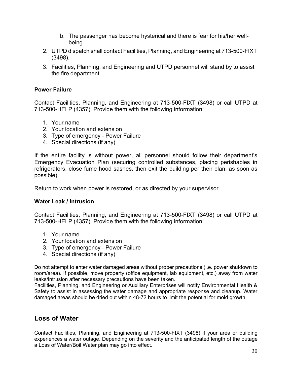- b. The passenger has become hysterical and there is fear for his/her wellbeing.
- 2. UTPD dispatch shall contact Facilities, Planning, and Engineering at 713-500-FIXT (3498).
- 3. Facilities, Planning, and Engineering and UTPD personnel will stand by to assist the fire department.

#### **Power Failure**

Contact Facilities, Planning, and Engineering at 713-500-FIXT (3498) or call UTPD at 713-500-HELP (4357). Provide them with the following information:

- 1. Your name
- 2. Your location and extension
- 3. Type of emergency Power Failure
- 4. Special directions (if any)

If the entire facility is without power, all personnel should follow their department's Emergency Evacuation Plan (securing controlled substances, placing perishables in refrigerators, close fume hood sashes, then exit the building per their plan, as soon as possible).

Return to work when power is restored, or as directed by your supervisor.

#### **Water Leak / Intrusion**

Contact Facilities, Planning, and Engineering at 713-500-FIXT (3498) or call UTPD at 713-500-HELP (4357). Provide them with the following information:

- 1. Your name
- 2. Your location and extension
- 3. Type of emergency Power Failure
- 4. Special directions (if any)

Do not attempt to enter water damaged areas without proper precautions (i.e. power shutdown to room/area). If possible, move property (office equipment, lab equipment, etc.) away from water leaks/intrusion after necessary precautions have been taken.

Facilities, Planning, and Engineering or Auxiliary Enterprises will notify Environmental Health & Safety to assist in assessing the water damage and appropriate response and cleanup. Water damaged areas should be dried out within 48-72 hours to limit the potential for mold growth.

## **Loss of Water**

Contact Facilities, Planning, and Engineering at 713-500-FIXT (3498) if your area or building experiences a water outage. Depending on the severity and the anticipated length of the outage a Loss of Water/Boil Water plan may go into effect.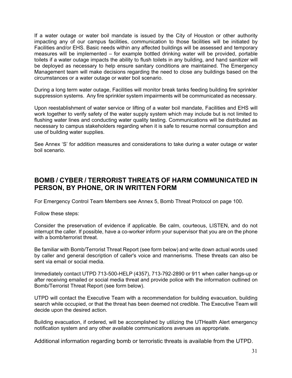If a water outage or water boil mandate is issued by the City of Houston or other authority impacting any of our campus facilities, communication to those facilities will be initiated by Facilities and/or EHS. Basic needs within any affected buildings will be assessed and temporary measures will be implemented – for example bottled drinking water will be provided, portable toilets if a water outage impacts the ability to flush toilets in any building, and hand sanitizer will be deployed as necessary to help ensure sanitary conditions are maintained. The Emergency Management team will make decisions regarding the need to close any buildings based on the circumstances or a water outage or water boil scenario.

During a long term water outage, Facilities will monitor break tanks feeding building fire sprinkler suppression systems. Any fire sprinkler system impairments will be communicated as necessary.

Upon reestablishment of water service or lifting of a water boil mandate, Facilities and EHS will work together to verify safety of the water supply system which may include but is not limited to flushing water lines and conducting water quality testing. Communications will be distributed as necessary to campus stakeholders regarding when it is safe to resume normal consumption and use of building water supplies.

See Annex 'S' for addition measures and considerations to take during a water outage or water boil scenario.

## **BOMB / CYBER / TERRORIST THREATS OF HARM COMMUNICATED IN PERSON, BY PHONE, OR IN WRITTEN FORM**

For Emergency Control Team Members see Annex 5, Bomb Threat Protocol on page 100.

Follow these steps:

Consider the preservation of evidence if applicable. Be calm, courteous, LISTEN, and do not interrupt the caller. If possible, have a co-worker inform your supervisor that you are on the phone with a bomb/terrorist threat.

Be familiar with Bomb/Terrorist Threat Report (see form below) and write down actual words used by caller and general description of caller's voice and mannerisms. These threats can also be sent via email or social media.

Immediately contact UTPD 713-500-HELP (4357), 713-792-2890 or 911 when caller hangs-up or after receiving emailed or social media threat and provide police with the information outlined on Bomb/Terrorist Threat Report (see form below).

UTPD will contact the Executive Team with a recommendation for building evacuation, building search while occupied, or that the threat has been deemed not credible. The Executive Team will decide upon the desired action.

Building evacuation, if ordered, will be accomplished by utilizing the UTHealth Alert emergency notification system and any other available communications avenues as appropriate.

Additional information regarding bomb or terroristic threats is available from the UTPD.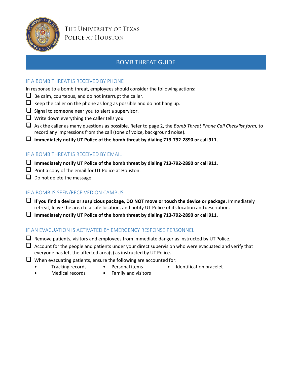

## BOMB THREAT GUIDE

## IF A BOMB THREAT IS RECEIVED BY PHONE

In response to a bomb threat, employees should consider the following actions:

- $\Box$  Be calm, courteous, and do not interrupt the caller.
- $\Box$  Keep the caller on the phone as long as possible and do not hang up.
- $\Box$  Signal to someone near you to alert a supervisor.
- $\Box$  Write down everything the caller tells you.
- Ask the caller as many questions as possible. Refer to page 2, the *Bomb Threat Phone Call Checklist form,* to record any impressions from the call (tone of voice, background noise).
- **Immediately notify UT Police of the bomb threat by dialing 713-792-2890 or call 911.**

#### IF A BOMB THREAT IS RECEIVED BY EMAIL

- **Immediately notify UT Police of the bomb threat by dialing 713-792-2890 or call 911.**
- $\Box$  Print a copy of the email for UT Police at Houston.
- $\Box$  Do not delete the message.

## IF A BOMB IS SEEN/RECEIVED ON CAMPUS

- **If you find a device or suspicious package, DO NOT move or touch the device or package.** Immediately retreat, leave the area to a safe location, and notify UT Police of its location anddescription.
- **Immediately notify UT Police of the bomb threat by dialing 713-792-2890 or call 911.**

#### IF AN EVACUATION IS ACTIVATED BY EMERGENCY RESPONSE PERSONNEL

- $\Box$  Remove patients, visitors and employees from immediate danger as instructed by UT Police.
- $\Box$  Account for the people and patients under your direct supervision who were evacuated and verify that everyone has left the affected area(s) as instructed by UT Police.
- $\Box$  When evacuating patients, ensure the following are accounted for:
	- - Tracking records Personal items Identification bracelet
	- Medical records Family and visitors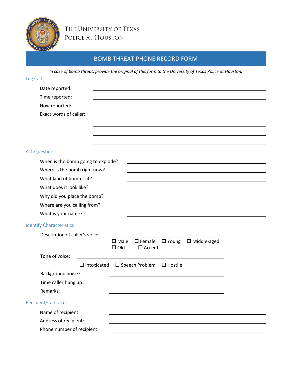

# THE UNIVERSITY OF TEXAS POLICE AT HOUSTON

# BOMB THREAT PHONE RECORD FORM

*In case of bomb threat, provide the original of this form to the University of Texas Police at Houston.*

| Log Call                           |                                                                                                               |  |
|------------------------------------|---------------------------------------------------------------------------------------------------------------|--|
| Date reported:                     |                                                                                                               |  |
| Time reported:                     |                                                                                                               |  |
| How reported:                      |                                                                                                               |  |
| Exact words of caller:             |                                                                                                               |  |
|                                    |                                                                                                               |  |
|                                    |                                                                                                               |  |
|                                    |                                                                                                               |  |
| <b>Ask Questions</b>               |                                                                                                               |  |
| When is the bomb going to explode? |                                                                                                               |  |
| Where is the bomb right now?       |                                                                                                               |  |
| What kind of bomb is it?           |                                                                                                               |  |
| What does it look like?            |                                                                                                               |  |
| Why did you place the bomb?        |                                                                                                               |  |
| Where are you calling from?        |                                                                                                               |  |
| What is your name?                 |                                                                                                               |  |
| <b>Identify Characteristics</b>    |                                                                                                               |  |
| Description of caller's voice:     |                                                                                                               |  |
|                                    | $\square$ Female<br>$\Box$ Young<br>$\square$ Middle-aged<br>$\square$ Male<br>$\Box$ Old<br>$\square$ Accent |  |
| Tone of voice:                     |                                                                                                               |  |
| $\Box$ Intoxicated                 | $\square$ Speech Problem<br>$\square$ Hostile                                                                 |  |
| Background noise?                  |                                                                                                               |  |
| Time caller hung up:               |                                                                                                               |  |
| Remarks:                           |                                                                                                               |  |
| Recipient/Call-taker               |                                                                                                               |  |
| Name of recipient:                 |                                                                                                               |  |
| Address of recipient:              |                                                                                                               |  |
| Phone number of recipient:         |                                                                                                               |  |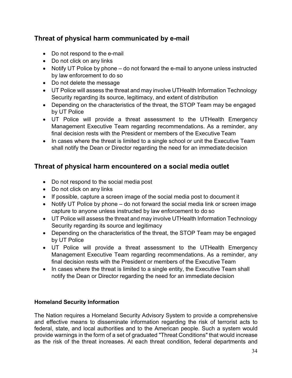# **Threat of physical harm communicated by e-mail**

- Do not respond to the e-mail
- Do not click on any links
- Notify UT Police by phone do not forward the e-mail to anyone unless instructed by law enforcement to do so
- Do not delete the message
- UT Police will assess the threat and may involve UTHealth Information Technology Security regarding its source, legitimacy, and extent of distribution
- Depending on the characteristics of the threat, the STOP Team may be engaged by UT Police
- UT Police will provide a threat assessment to the UTHealth Emergency Management Executive Team regarding recommendations. As a reminder, any final decision rests with the President or members of the Executive Team
- In cases where the threat is limited to a single school or unit the Executive Team shall notify the Dean or Director regarding the need for an immediate decision

# **Threat of physical harm encountered on a social media outlet**

- Do not respond to the social media post
- Do not click on any links
- If possible, capture a screen image of the social media post to document it
- Notify UT Police by phone do not forward the social media link or screen image capture to anyone unless instructed by law enforcement to do so
- UT Police will assess the threat and may involve UTHealth Information Technology Security regarding its source and legitimacy
- Depending on the characteristics of the threat, the STOP Team may be engaged by UT Police
- UT Police will provide a threat assessment to the UTHealth Emergency Management Executive Team regarding recommendations. As a reminder, any final decision rests with the President or members of the Executive Team
- In cases where the threat is limited to a single entity, the Executive Team shall notify the Dean or Director regarding the need for an immediate decision

## <span id="page-34-0"></span>**Homeland Security Information**

The Nation requires a Homeland Security Advisory System to provide a comprehensive and effective means to disseminate information regarding the risk of terrorist acts to federal, state, and local authorities and to the American people. Such a system would provide warnings in the form of a set of graduated "Threat Conditions" that would increase as the risk of the threat increases. At each threat condition, federal departments and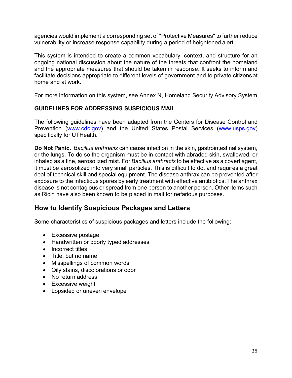agencies would implement a corresponding set of "Protective Measures" to further reduce vulnerability or increase response capability during a period of heightened alert.

This system is intended to create a common vocabulary, context, and structure for an ongoing national discussion about the nature of the threats that confront the homeland and the appropriate measures that should be taken in response. It seeks to inform and facilitate decisions appropriate to different levels of government and to private citizensat home and at work.

For more information on this system, see Annex N, Homeland Security Advisory System.

## **GUIDELINES FOR ADDRESSING SUSPICIOUS MAIL**

The following guidelines have been adapted from the Centers for Disease Control and Prevention [\(www.cdc.gov\)](http://www.cdc.gov/) and the United States Postal Services [\(www.usps.gov\)](http://www.usps.gov/) specifically for UTHealth.

**Do Not Panic.** *Bacillus anthracis* can cause infection in the skin, gastrointestinal system, or the lungs. To do so the organism must be in contact with abraded skin, swallowed, or inhaled as a fine, aerosolized mist. For *Bacillus anthracis* to be effective as a covert agent, it must be aerosolized into very small particles. This is difficult to do, and requires a great deal of technical skill and special equipment. The disease anthrax can be prevented after exposure to the infectious spores by early treatment with effective antibiotics. The anthrax disease is not contagious or spread from one person to another person. Other items such as Ricin have also been known to be placed in mail for nefarious purposes.

## **How to Identify Suspicious Packages and Letters**

Some characteristics of suspicious packages and letters include the following:

- Excessive postage
- Handwritten or poorly typed addresses
- Incorrect titles
- Title, but no name
- Misspellings of common words
- Oily stains, discolorations or odor
- No return address
- Excessive weight
- Lopsided or uneven envelope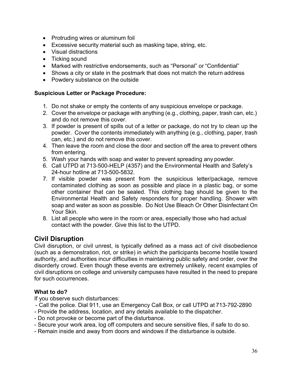- Protruding wires or aluminum foil
- Excessive security material such as masking tape, string, etc.
- Visual distractions
- Ticking sound
- Marked with restrictive endorsements, such as "Personal" or "Confidential"
- Shows a city or state in the postmark that does not match the return address
- Powdery substance on the outside

### **Suspicious Letter or Package Procedure:**

- 1. Do not shake or empty the contents of any suspicious envelope or package.
- 2. Cover the envelope or package with anything (e.g., clothing, paper, trash can, etc.) and do not remove this cover.
- 3. If powder is present of spills out of a letter or package, do not try to clean up the powder. Cover the contents immediately with anything (e.g., clothing, paper, trash can, etc.) and do not remove this cover.
- 4. Then leave the room and close the door and section off the area to prevent others from entering.
- 5. Wash your hands with soap and water to prevent spreading any powder.
- 6. Call UTPD at 713-500-HELP (4357) and the Environmental Health and Safety's 24-hour hotline at 713-500-5832.
- 7. If visible powder was present from the suspicious letter/package, remove contaminated clothing as soon as possible and place in a plastic bag, or some other container that can be sealed. This clothing bag should be given to the Environmental Health and Safety responders for proper handling. Shower with soap and water as soon as possible. Do Not Use Bleach Or Other Disinfectant On Your Skin.
- 8. List all people who were in the room or area, especially those who had actual contact with the powder. Give this list to the UTPD.

# **Civil Disruption**

Civil disruption, or civil unrest, is typically defined as a mass act of civil disobedience (such as a demonstration, riot, or strike) in which the participants become hostile toward authority, and authorities incur difficulties in maintaining public safety and order, over the disorderly crowd. Even though these events are extremely unlikely, recent examples of civil disruptions on college and university campuses have resulted in the need to prepare for such occurrences.

### **What to do?**

If you observe such disturbances:

- Call the police. Dial 911, use an Emergency Call Box, or call UTPD at 713-792-2890
- Provide the address, location, and any details available to the dispatcher.
- Do not provoke or become part of the disturbance.
- Secure your work area, log off computers and secure sensitive files, if safe to do so.
- Remain inside and away from doors and windows if the disturbance is outside.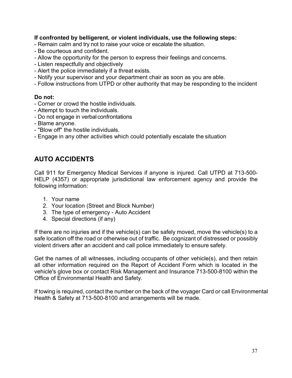### **If confronted by belligerent, or violent individuals, use the following steps:**

- Remain calm and try not to raise your voice or escalate the situation.
- Be courteous and confident.
- Allow the opportunity for the person to express their feelings and concerns.
- Listen respectfully and objectively
- Alert the police immediately if a threat exists.
- Notify your supervisor and your department chair as soon as you are able.
- Follow instructions from UTPD or other authority that may be responding to the incident

### **Do not:**

- Corner or crowd the hostile individuals.
- Attempt to touch the individuals.
- Do not engage in verbal confrontations
- Blame anyone.
- "Blow off" the hostile individuals.
- Engage in any other activities which could potentially escalate the situation

# **AUTO ACCIDENTS**

Call 911 for Emergency Medical Services if anyone is injured. Call UTPD at 713-500- HELP (4357) or appropriate jurisdictional law enforcement agency and provide the following information:

- 1. Your name
- 2. Your location (Street and Block Number)
- 3. The type of emergency Auto Accident
- 4. Special directions (if any)

If there are no injuries and if the vehicle(s) can be safely moved, move the vehicle(s) to a safe location off the road or otherwise out of traffic. Be cognizant of distressed or possibly violent drivers after an accident and call police immediately to ensure safety.

Get the names of all witnesses, including occupants of other vehicle(s), and then retain all other information required on the Report of Accident Form which is located in the vehicle's glove box or contact Risk Management and Insurance 713-500-8100 within the Office of Environmental Health and Safety.

If towing is required, contact the number on the back of the voyager Card or call Environmental Health & Safety at 713-500-8100 and arrangements will be made.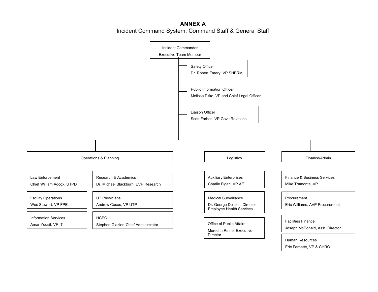## **ANNEX A** Incident Command System: Command Staff & General Staff



Eric Fernette, VP & CHRO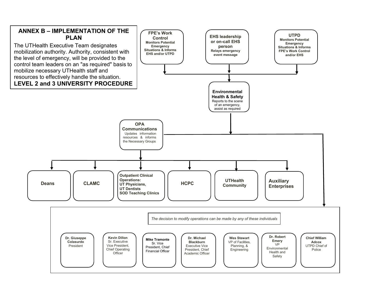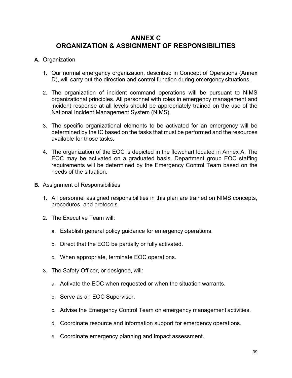# **ANNEX C ORGANIZATION & ASSIGNMENT OF RESPONSIBILITIES**

### **A.** Organization

- 1. Our normal emergency organization, described in Concept of Operations (Annex D), will carry out the direction and control function during emergency situations.
- 2. The organization of incident command operations will be pursuant to NIMS organizational principles. All personnel with roles in emergency management and incident response at all levels should be appropriately trained on the use of the National Incident Management System (NIMS).
- 3. The specific organizational elements to be activated for an emergency will be determined by the IC based on the tasks that must be performed and the resources available for those tasks.
- 4. The organization of the EOC is depicted in the flowchart located in Annex A. The EOC may be activated on a graduated basis. Department group EOC staffing requirements will be determined by the Emergency Control Team based on the needs of the situation.
- **B.** Assignment of Responsibilities
	- 1. All personnel assigned responsibilities in this plan are trained on NIMS concepts, procedures, and protocols.
	- 2. The Executive Team will:
		- a. Establish general policy guidance for emergency operations.
		- b. Direct that the EOC be partially or fully activated.
		- c. When appropriate, terminate EOC operations.
	- 3. The Safety Officer, or designee, will:
		- a. Activate the EOC when requested or when the situation warrants.
		- b. Serve as an EOC Supervisor.
		- c. Advise the Emergency Control Team on emergency management activities.
		- d. Coordinate resource and information support for emergency operations.
		- e. Coordinate emergency planning and impact assessment.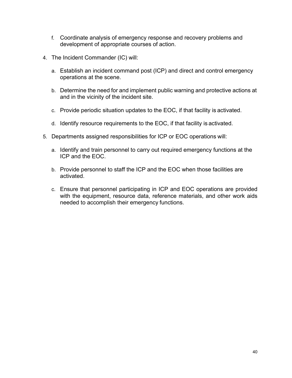- f. Coordinate analysis of emergency response and recovery problems and development of appropriate courses of action.
- 4. The Incident Commander (IC) will:
	- a. Establish an incident command post (ICP) and direct and control emergency operations at the scene.
	- b. Determine the need for and implement public warning and protective actions at and in the vicinity of the incident site.
	- c. Provide periodic situation updates to the EOC, if that facility is activated.
	- d. Identify resource requirements to the EOC, if that facility is activated.
- 5. Departments assigned responsibilities for ICP or EOC operations will:
	- a. Identify and train personnel to carry out required emergency functions at the ICP and the EOC.
	- b. Provide personnel to staff the ICP and the EOC when those facilities are activated.
	- c. Ensure that personnel participating in ICP and EOC operations are provided with the equipment, resource data, reference materials, and other work aids needed to accomplish their emergency functions.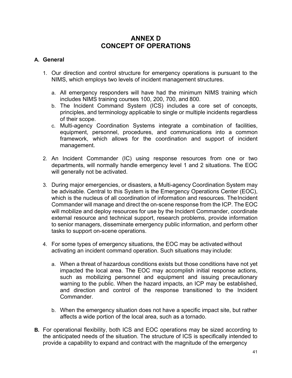# **ANNEX D CONCEPT OF OPERATIONS**

### **A. General**

- 1. Our direction and control structure for emergency operations is pursuant to the NIMS, which employs two levels of incident management structures.
	- a. All emergency responders will have had the minimum NIMS training which includes NIMS training courses 100, 200, 700, and 800.
	- b. The Incident Command System (ICS) includes a core set of concepts, principles, and terminology applicable to single or multiple incidents regardless of their scope.
	- c. Multi-agency Coordination Systems integrate a combination of facilities, equipment, personnel, procedures, and communications into a common framework, which allows for the coordination and support of incident management.
- 2. An Incident Commander (IC) using response resources from one or two departments, will normally handle emergency level 1 and 2 situations. The EOC will generally not be activated.
- 3. During major emergencies, or disasters, a Multi-agency Coordination System may be advisable. Central to this System is the Emergency Operations Center (EOC), which is the nucleus of all coordination of information and resources. The Incident Commander will manage and direct the on-scene response from the ICP. The EOC will mobilize and deploy resources for use by the Incident Commander, coordinate external resource and technical support, research problems, provide information to senior managers, disseminate emergency public information, and perform other tasks to support on-scene operations.
- 4. For some types of emergency situations, the EOC may be activated without activating an incident command operation. Such situations may include:
	- a. When a threat of hazardous conditions exists but those conditions have not yet impacted the local area. The EOC may accomplish initial response actions, such as mobilizing personnel and equipment and issuing precautionary warning to the public. When the hazard impacts, an ICP may be established, and direction and control of the response transitioned to the Incident Commander.
	- b. When the emergency situation does not have a specific impact site, but rather affects a wide portion of the local area, such as a tornado.
- **B.** For operational flexibility, both ICS and EOC operations may be sized according to the anticipated needs of the situation. The structure of ICS is specifically intended to provide a capability to expand and contract with the magnitude of the emergency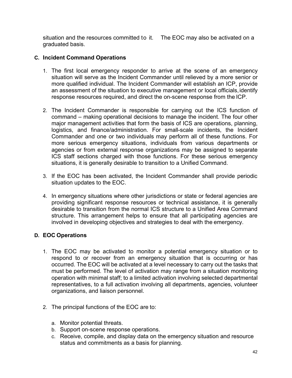situation and the resources committed to it. The EOC may also be activated on a graduated basis.

### **C. Incident Command Operations**

- 1. The first local emergency responder to arrive at the scene of an emergency situation will serve as the Incident Commander until relieved by a more senior or more qualified individual. The Incident Commander will establish an ICP, provide an assessment of the situation to executive management or local officials,identify response resources required, and direct the on-scene response from the ICP.
- 2. The Incident Commander is responsible for carrying out the ICS function of command – making operational decisions to manage the incident. The four other major management activities that form the basis of ICS are operations, planning, logistics, and finance/administration. For small-scale incidents, the Incident Commander and one or two individuals may perform all of these functions. For more serious emergency situations, individuals from various departments or agencies or from external response organizations may be assigned to separate ICS staff sections charged with those functions. For these serious emergency situations, it is generally desirable to transition to a Unified Command.
- 3. If the EOC has been activated, the Incident Commander shall provide periodic situation updates to the EOC.
- 4. In emergency situations where other jurisdictions or state or federal agencies are providing significant response resources or technical assistance, it is generally desirable to transition from the normal ICS structure to a Unified Area Command structure. This arrangement helps to ensure that all participating agencies are involved in developing objectives and strategies to deal with the emergency.

### **D. EOC Operations**

- 1. The EOC may be activated to monitor a potential emergency situation or to respond to or recover from an emergency situation that is occurring or has occurred. The EOC will be activated at a level necessary to carry out the tasks that must be performed. The level of activation may range from a situation monitoring operation with minimal staff; to a limited activation involving selected departmental representatives, to a full activation involving all departments, agencies, volunteer organizations, and liaison personnel.
- 2. The principal functions of the EOC are to:
	- a. Monitor potential threats.
	- b. Support on-scene response operations.
	- c. Receive, compile, and display data on the emergency situation and resource status and commitments as a basis for planning.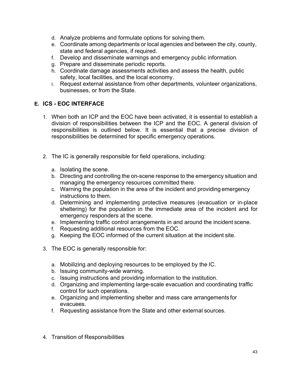- d. Analyze problems and formulate options for solving them.
- e. Coordinate among departments or local agencies and between the city, county, state and federal agencies, if required.
- f. Develop and disseminate warnings and emergency public information.
- g. Prepare and disseminate periodic reports.
- h. Coordinate damage assessments activities and assess the health, public safety, local facilities, and the local economy.
- i. Request external assistance from other departments, volunteer organizations, businesses, or from the State.

## **E. ICS - EOC INTERFACE**

- 1. When both an ICP and the EOC have been activated, it is essential to establish a division of responsibilities between the ICP and the EOC. A general division of responsibilities is outlined below. It is essential that a precise division of responsibilities be determined for specific emergency operations.
- 2. The IC is generally responsible for field operations, including:
	- a. Isolating the scene.
	- b. Directing and controlling the on-scene response to the emergency situation and managing the emergency resources committed there.
	- c. Warning the population in the area of the incident and providing emergency instructions to them.
	- d. Determining and implementing protective measures (evacuation or in-place sheltering) for the population in the immediate area of the incident and for emergency responders at the scene.
	- e. Implementing traffic control arrangements in and around the incident scene.
	- f. Requesting additional resources from the EOC.
	- g. Keeping the EOC informed of the current situation at the incident site.
- 3. The EOC is generally responsible for:
	- a. Mobilizing and deploying resources to be employed by the IC.
	- b. Issuing community-wide warning.
	- c. Issuing instructions and providing information to the institution.
	- d. Organizing and implementing large-scale evacuation and coordinating traffic control for such operations.
	- e. Organizing and implementing shelter and mass care arrangements for evacuees.
	- f. Requesting assistance from the State and other external sources.
- 4. Transition of Responsibilities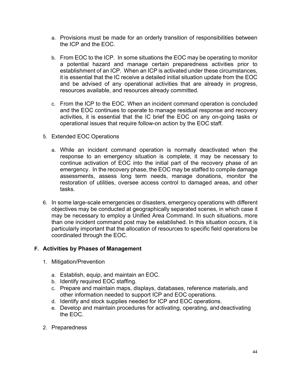- a. Provisions must be made for an orderly transition of responsibilities between the ICP and the EOC.
- b. From EOC to the ICP. In some situations the EOC may be operating to monitor a potential hazard and manage certain preparedness activities prior to establishment of an ICP. When an ICP is activated under these circumstances, it is essential that the IC receive a detailed initial situation update from the EOC and be advised of any operational activities that are already in progress, resources available, and resources already committed.
- c. From the ICP to the EOC. When an incident command operation is concluded and the EOC continues to operate to manage residual response and recovery activities, it is essential that the IC brief the EOC on any on-going tasks or operational issues that require follow-on action by the EOC staff.
- 5. Extended EOC Operations
	- a. While an incident command operation is normally deactivated when the response to an emergency situation is complete, it may be necessary to continue activation of EOC into the initial part of the recovery phase of an emergency. In the recovery phase, the EOC may be staffed to compile damage assessments, assess long term needs, manage donations, monitor the restoration of utilities, oversee access control to damaged areas, and other tasks.
- 6. In some large-scale emergencies or disasters, emergency operations with different objectives may be conducted at geographically separated scenes, in which case it may be necessary to employ a Unified Area Command. In such situations, more than one incident command post may be established. In this situation occurs, it is particularly important that the allocation of resources to specific field operations be coordinated through the EOC.

### **F. Activities by Phases of Management**

- 1. Mitigation/Prevention
	- a. Establish, equip, and maintain an EOC.
	- b. Identify required EOC staffing.
	- c. Prepare and maintain maps, displays, databases, reference materials, and other information needed to support ICP and EOC operations.
	- d. Identify and stock supplies needed for ICP and EOC operations.
	- e. Develop and maintain procedures for activating, operating, and deactivating the EOC.
- 2. Preparedness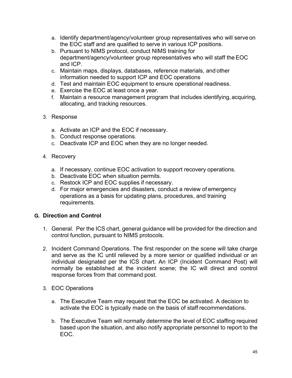- a. Identify department/agency/volunteer group representatives who will serve on the EOC staff and are qualified to serve in various ICP positions.
- b. Pursuant to NIMS protocol, conduct NIMS training for department/agency/volunteer group representatives who will staff the EOC and ICP.
- c. Maintain maps, displays, databases, reference materials, and other information needed to support ICP and EOC operations
- d. Test and maintain EOC equipment to ensure operational readiness.
- e. Exercise the EOC at least once a year.
- f. Maintain a resource management program that includes identifying, acquiring, allocating, and tracking resources.
- 3. Response
	- a. Activate an ICP and the EOC if necessary.
	- b. Conduct response operations.
	- c. Deactivate ICP and EOC when they are no longer needed.
- 4. Recovery
	- a. If necessary, continue EOC activation to support recovery operations.
	- b. Deactivate EOC when situation permits.
	- c. Restock ICP and EOC supplies if necessary.
	- d. For major emergencies and disasters, conduct a review of emergency operations as a basis for updating plans, procedures, and training requirements.

### **G. Direction and Control**

- 1. General. Per the ICS chart, general guidance will be provided for the direction and control function, pursuant to NIMS protocols.
- 2. Incident Command Operations. The first responder on the scene will take charge and serve as the IC until relieved by a more senior or qualified individual or an individual designated per the ICS chart. An ICP (Incident Command Post) will normally be established at the incident scene; the IC will direct and control response forces from that command post.
- 3. EOC Operations
	- a. The Executive Team may request that the EOC be activated. A decision to activate the EOC is typically made on the basis of staff recommendations.
	- b. The Executive Team will normally determine the level of EOC staffing required based upon the situation, and also notify appropriate personnel to report to the EOC.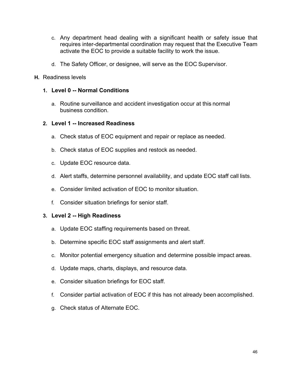- c. Any department head dealing with a significant health or safety issue that requires inter-departmental coordination may request that the Executive Team activate the EOC to provide a suitable facility to work the issue.
- d. The Safety Officer, or designee, will serve as the EOC Supervisor.
- **H.** Readiness levels

### **1. Level 0 -- Normal Conditions**

a. Routine surveillance and accident investigation occur at this normal business condition.

### **2. Level 1 -- Increased Readiness**

- a. Check status of EOC equipment and repair or replace as needed.
- b. Check status of EOC supplies and restock as needed.
- c. Update EOC resource data.
- d. Alert staffs, determine personnel availability, and update EOC staff call lists.
- e. Consider limited activation of EOC to monitor situation.
- f. Consider situation briefings for senior staff.

### **3. Level 2 -- High Readiness**

- a. Update EOC staffing requirements based on threat.
- b. Determine specific EOC staff assignments and alert staff.
- c. Monitor potential emergency situation and determine possible impact areas.
- d. Update maps, charts, displays, and resource data.
- e. Consider situation briefings for EOC staff.
- f. Consider partial activation of EOC if this has not already been accomplished.
- g. Check status of Alternate EOC.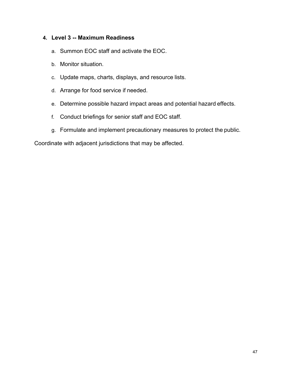### **4. Level 3 -- Maximum Readiness**

- a. Summon EOC staff and activate the EOC.
- b. Monitor situation.
- c. Update maps, charts, displays, and resource lists.
- d. Arrange for food service if needed.
- e. Determine possible hazard impact areas and potential hazard effects.
- f. Conduct briefings for senior staff and EOC staff.
- g. Formulate and implement precautionary measures to protect the public.

Coordinate with adjacent jurisdictions that may be affected.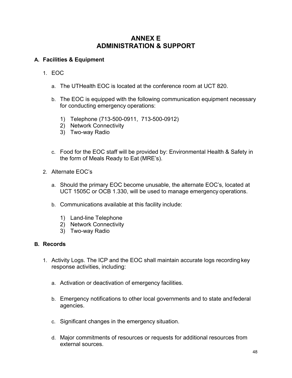# **ANNEX E ADMINISTRATION & SUPPORT**

### **A. Facilities & Equipment**

- 1. EOC
	- a. The UTHealth EOC is located at the conference room at UCT 820.
	- b. The EOC is equipped with the following communication equipment necessary for conducting emergency operations:
		- 1) Telephone (713-500-0911, 713-500-0912)
		- 2) Network Connectivity
		- 3) Two-way Radio
	- c. Food for the EOC staff will be provided by: Environmental Health & Safety in the form of Meals Ready to Eat (MRE's).
- 2. Alternate EOC's
	- a. Should the primary EOC become unusable, the alternate EOC's, located at UCT 1505C or OCB 1.330, will be used to manage emergency operations.
	- b. Communications available at this facility include:
		- 1) Land-line Telephone
		- 2) Network Connectivity
		- 3) Two-way Radio

### **B. Records**

- 1. Activity Logs. The ICP and the EOC shall maintain accurate logs recording key response activities, including:
	- a. Activation or deactivation of emergency facilities.
	- b. Emergency notifications to other local governments and to state andfederal agencies.
	- c. Significant changes in the emergency situation.
	- d. Major commitments of resources or requests for additional resources from external sources.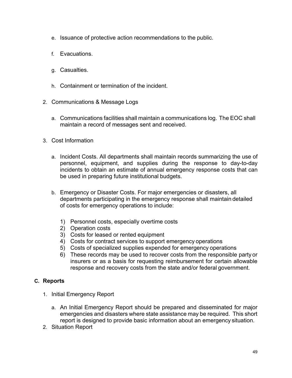- e. Issuance of protective action recommendations to the public.
- f. Evacuations.
- g. Casualties.
- h. Containment or termination of the incident.
- 2. Communications & Message Logs
	- a. Communications facilities shall maintain a communications log. The EOC shall maintain a record of messages sent and received.
- 3. Cost Information
	- a. Incident Costs. All departments shall maintain records summarizing the use of personnel, equipment, and supplies during the response to day-to-day incidents to obtain an estimate of annual emergency response costs that can be used in preparing future institutional budgets.
	- b. Emergency or Disaster Costs. For major emergencies or disasters, all departments participating in the emergency response shall maintain detailed of costs for emergency operations to include:
		- 1) Personnel costs, especially overtime costs
		- 2) Operation costs
		- 3) Costs for leased or rented equipment
		- 4) Costs for contract services to support emergency operations
		- 5) Costs of specialized supplies expended for emergency operations
		- 6) These records may be used to recover costs from the responsible party or insurers or as a basis for requesting reimbursement for certain allowable response and recovery costs from the state and/or federal government.

### **C. Reports**

- 1. Initial Emergency Report
	- a. An Initial Emergency Report should be prepared and disseminated for major emergencies and disasters where state assistance may be required. This short report is designed to provide basic information about an emergency situation.
- 2. Situation Report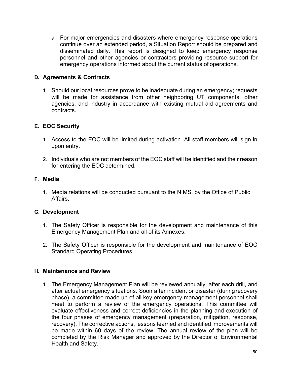a. For major emergencies and disasters where emergency response operations continue over an extended period, a Situation Report should be prepared and disseminated daily. This report is designed to keep emergency response personnel and other agencies or contractors providing resource support for emergency operations informed about the current status of operations.

### **D. Agreements & Contracts**

1. Should our local resources prove to be inadequate during an emergency; requests will be made for assistance from other neighboring UT components, other agencies, and industry in accordance with existing mutual aid agreements and contracts.

### **E. EOC Security**

- 1. Access to the EOC will be limited during activation. All staff members will sign in upon entry.
- 2. Individuals who are not members of the EOC staff will be identified and their reason for entering the EOC determined.

### **F. Media**

1. Media relations will be conducted pursuant to the NIMS, by the Office of Public Affairs.

### **G. Development**

- 1. The Safety Officer is responsible for the development and maintenance of this Emergency Management Plan and all of its Annexes.
- 2. The Safety Officer is responsible for the development and maintenance of EOC Standard Operating Procedures.

### **H. Maintenance and Review**

1. The Emergency Management Plan will be reviewed annually, after each drill, and after actual emergency situations. Soon after incident or disaster (duringrecovery phase), a committee made up of all key emergency management personnel shall meet to perform a review of the emergency operations. This committee will evaluate effectiveness and correct deficiencies in the planning and execution of the four phases of emergency management (preparation, mitigation, response, recovery). The corrective actions, lessons learned and identified improvements will be made within 60 days of the review. The annual review of the plan will be completed by the Risk Manager and approved by the Director of Environmental Health and Safety.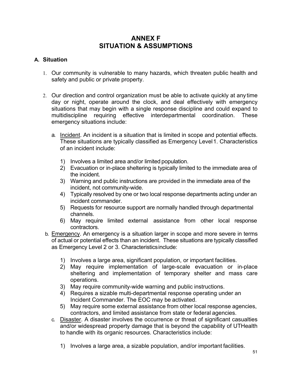# **ANNEX F SITUATION & ASSUMPTIONS**

### **A. Situation**

- 1. Our community is vulnerable to many hazards, which threaten public health and safety and public or private property.
- 2. Our direction and control organization must be able to activate quickly at any time day or night, operate around the clock, and deal effectively with emergency situations that may begin with a single response discipline and could expand to multidiscipline requiring effective interdepartmental coordination. These emergency situations include:
	- a. Incident. An incident is a situation that is limited in scope and potential effects. These situations are typically classified as Emergency Level1. Characteristics of an incident include:
		- 1) Involves a limited area and/or limited population.
		- 2) Evacuation or in-place sheltering is typically limited to the immediate area of the incident.
		- 3) Warning and public instructions are provided in the immediate area of the incident, not community-wide.
		- 4) Typically resolved by one or two local response departments acting under an incident commander.
		- 5) Requests for resource support are normally handled through departmental channels.
		- 6) May require limited external assistance from other local response contractors.
- b. Emergency. An emergency is a situation larger in scope and more severe in terms of actual or potential effects than an incident. These situations are typically classified as Emergency Level 2 or 3. Characteristicsinclude:
	- 1) Involves a large area, significant population, or important facilities.
	- 2) May require implementation of large-scale evacuation or in-place sheltering and implementation of temporary shelter and mass care operations.
	- 3) May require community-wide warning and public instructions.
	- 4) Requires a sizable multi-departmental response operating under an Incident Commander. The EOC may be activated.
	- 5) May require some external assistance from other local response agencies, contractors, and limited assistance from state or federal agencies.
	- c. Disaster. A disaster involves the occurrence or threat of significant casualties and/or widespread property damage that is beyond the capability of UTHealth to handle with its organic resources. Characteristics include:
		- 1) Involves a large area, a sizable population, and/or important facilities.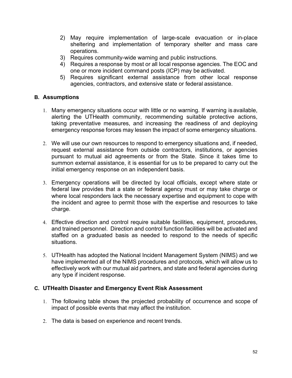- 2) May require implementation of large-scale evacuation or in-place sheltering and implementation of temporary shelter and mass care operations.
- 3) Requires community-wide warning and public instructions.
- 4) Requires a response by most or all local response agencies. The EOC and one or more incident command posts (ICP) may be activated.
- 5) Requires significant external assistance from other local response agencies, contractors, and extensive state or federal assistance.

### **B. Assumptions**

- 1. Many emergency situations occur with little or no warning. If warning is available, alerting the UTHealth community, recommending suitable protective actions, taking preventative measures, and increasing the readiness of and deploying emergency response forces may lessen the impact of some emergency situations.
- 2. We will use our own resources to respond to emergency situations and, if needed, request external assistance from outside contractors, institutions, or agencies pursuant to mutual aid agreements or from the State. Since it takes time to summon external assistance, it is essential for us to be prepared to carry out the initial emergency response on an independent basis.
- 3. Emergency operations will be directed by local officials, except where state or federal law provides that a state or federal agency must or may take charge or where local responders lack the necessary expertise and equipment to cope with the incident and agree to permit those with the expertise and resources to take charge.
- 4. Effective direction and control require suitable facilities, equipment, procedures, and trained personnel. Direction and control function facilities will be activated and staffed on a graduated basis as needed to respond to the needs of specific situations.
- 5. UTHealth has adopted the National Incident Management System (NIMS) and we have implemented all of the NIMS procedures and protocols, which will allow us to effectively work with our mutual aid partners, and state and federal agencies during any type if incident response.

### **C. UTHealth Disaster and Emergency Event Risk Assessment**

- 1. The following table shows the projected probability of occurrence and scope of impact of possible events that may affect the institution.
- 2. The data is based on experience and recent trends.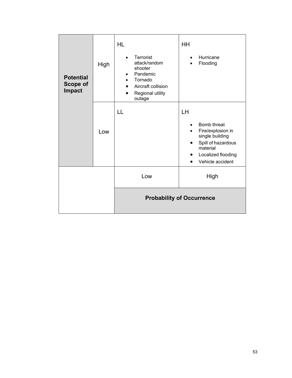| <b>Potential</b><br>Scope of<br><b>Impact</b> | High | <b>HL</b><br>Terrorist<br>attack/random<br>shooter<br>Pandemic<br>$\bullet$<br>Tornado<br>Aircraft collision<br>$\bullet$<br>Regional utility<br>outage | HH<br>Hurricane<br>Flooding                                                                                                           |
|-----------------------------------------------|------|---------------------------------------------------------------------------------------------------------------------------------------------------------|---------------------------------------------------------------------------------------------------------------------------------------|
|                                               | Low  | LL                                                                                                                                                      | LH<br>Bomb threat<br>Fire/explosion in<br>single building<br>Spill of hazardous<br>material<br>Localized flooding<br>Vehicle accident |
|                                               |      | Low                                                                                                                                                     | High                                                                                                                                  |
|                                               |      | <b>Probability of Occurrence</b>                                                                                                                        |                                                                                                                                       |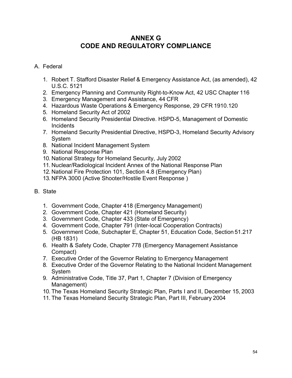# **ANNEX G CODE AND REGULATORY COMPLIANCE**

## A. Federal

- 1. Robert T. Stafford Disaster Relief & Emergency Assistance Act, (as amended), 42 U.S.C. 5121
- 2. Emergency Planning and Community Right-to-Know Act, 42 USC Chapter 116
- 3. Emergency Management and Assistance, 44 CFR
- 4. Hazardous Waste Operations & Emergency Response, 29 CFR 1910.120
- 5. Homeland Security Act of 2002
- 6. Homeland Security Presidential Directive. HSPD-5, Management of Domestic **Incidents**
- 7. Homeland Security Presidential Directive, HSPD-3, Homeland Security Advisory System
- 8. National Incident Management System
- 9. National Response Plan
- 10. National Strategy for Homeland Security, July 2002
- 11. Nuclear/Radiological Incident Annex of the National Response Plan
- 12. National Fire Protection 101, Section 4.8 (Emergency Plan)
- 13. NFPA 3000 (Active Shooter/Hostile Event Response )
- B. State
	- 1. Government Code, Chapter 418 (Emergency Management)
	- 2. Government Code, Chapter 421 (Homeland Security)
	- 3. Government Code, Chapter 433 (State of Emergency)
	- 4. Government Code, Chapter 791 (Inter-local Cooperation Contracts)
	- 5. Government Code, Subchapter E, Chapter 51, Education Code, Section 51.217 (HB 1831)
	- 6. Health & Safety Code, Chapter 778 (Emergency Management Assistance Compact)
	- 7. Executive Order of the Governor Relating to Emergency Management
	- 8. Executive Order of the Governor Relating to the National Incident Management System
	- 9. Administrative Code, Title 37, Part 1, Chapter 7 (Division of Emergency Management)
	- 10. The Texas Homeland Security Strategic Plan, Parts I and II, December 15, 2003
	- 11. The Texas Homeland Security Strategic Plan, Part III, February 2004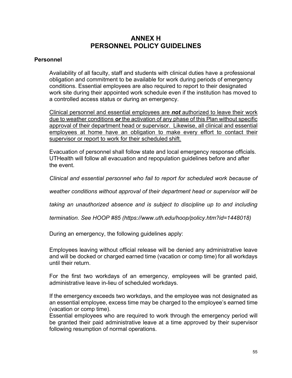# **ANNEX H PERSONNEL POLICY GUIDELINES**

#### **Personnel**

Availability of all faculty, staff and students with clinical duties have a professional obligation and commitment to be available for work during periods of emergency conditions. Essential employees are also required to report to their designated work site during their appointed work schedule even if the institution has moved to a controlled access status or during an emergency.

Clinical personnel and essential employees are *not* authorized to leave their work due to weather conditions *or* the activation of any phase of this Plan without specific approval of their department head or supervisor. Likewise, all clinical and essential employees at home have an obligation to make every effort to contact their supervisor or report to work for their scheduled shift.

Evacuation of personnel shall follow state and local emergency response officials. UTHealth will follow all evacuation and repopulation guidelines before and after the event.

*Clinical and essential personnel who fail to report for scheduled work because of* 

*weather conditions without approval of their department head or supervisor will be* 

*taking an unauthorized absence and is subject to discipline up to and including* 

*termination. See HOOP #85 (https:/[/www.uth.edu/hoop/policy.htm?id=1448018\)](http://www.uth.edu/hoop/policy.htm?id=1448018))*

During an emergency, the following guidelines apply:

Employees leaving without official release will be denied any administrative leave and will be docked or charged earned time (vacation or comp time) for all workdays until their return.

For the first two workdays of an emergency, employees will be granted paid, administrative leave in-lieu of scheduled workdays.

If the emergency exceeds two workdays, and the employee was not designated as an essential employee, excess time may be charged to the employee's earned time (vacation or comp time).

Essential employees who are required to work through the emergency period will be granted their paid administrative leave at a time approved by their supervisor following resumption of normal operations.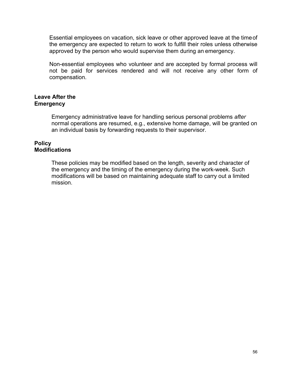Essential employees on vacation, sick leave or other approved leave at the timeof the emergency are expected to return to work to fulfill their roles unless otherwise approved by the person who would supervise them during an emergency.

Non-essential employees who volunteer and are accepted by formal process will not be paid for services rendered and will not receive any other form of compensation.

### **Leave After the Emergency**

Emergency administrative leave for handling serious personal problems *after*  normal operations are resumed, e.g., extensive home damage, will be granted on an individual basis by forwarding requests to their supervisor.

### **Policy Modifications**

These policies may be modified based on the length, severity and character of the emergency and the timing of the emergency during the work-week. Such modifications will be based on maintaining adequate staff to carry out a limited mission.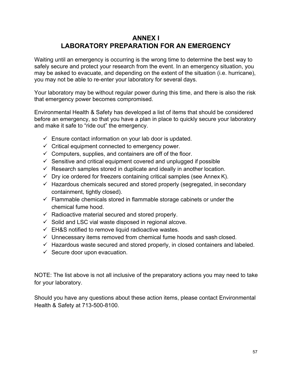# **ANNEX I LABORATORY PREPARATION FOR AN EMERGENCY**

Waiting until an emergency is occurring is the wrong time to determine the best way to safely secure and protect your research from the event. In an emergency situation, you may be asked to evacuate, and depending on the extent of the situation (i.e. hurricane), you may not be able to re-enter your laboratory for several days.

Your laboratory may be without regular power during this time, and there is also the risk that emergency power becomes compromised.

Environmental Health & Safety has developed a list of items that should be considered before an emergency, so that you have a plan in place to quickly secure your laboratory and make it safe to "ride out" the emergency.

- $\checkmark$  Ensure contact information on your lab door is updated.
- $\checkmark$  Critical equipment connected to emergency power.
- $\checkmark$  Computers, supplies, and containers are off of the floor.
- $\checkmark$  Sensitive and critical equipment covered and unplugged if possible
- $\checkmark$  Research samples stored in duplicate and ideally in another location.
- $\checkmark$  Dry ice ordered for freezers containing critical samples (see Annex K).
- $\checkmark$  Hazardous chemicals secured and stored properly (segregated, in secondary containment, tightly closed).
- $\checkmark$  Flammable chemicals stored in flammable storage cabinets or under the chemical fume hood.
- $\checkmark$  Radioactive material secured and stored properly.
- $\checkmark$  Solid and LSC vial waste disposed in regional alcove.
- $\checkmark$  EH&S notified to remove liquid radioactive wastes.
- $\checkmark$  Unnecessary items removed from chemical fume hoods and sash closed.
- $\checkmark$  Hazardous waste secured and stored properly, in closed containers and labeled.
- $\checkmark$  Secure door upon evacuation.

NOTE: The list above is not all inclusive of the preparatory actions you may need to take for your laboratory.

Should you have any questions about these action items, please contact Environmental Health & Safety at 713-500-8100.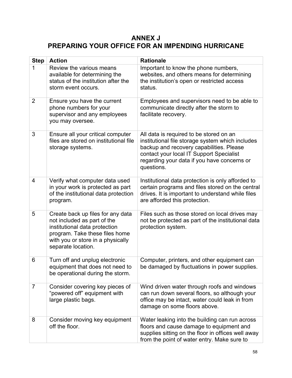# **ANNEX J PREPARING YOUR OFFICE FOR AN IMPENDING HURRICANE**

| <b>Step</b>    | <b>Action</b>                                                                                                                                                                                  | <b>Rationale</b>                                                                                                                                                                                                                                 |  |
|----------------|------------------------------------------------------------------------------------------------------------------------------------------------------------------------------------------------|--------------------------------------------------------------------------------------------------------------------------------------------------------------------------------------------------------------------------------------------------|--|
| 1              | Review the various means<br>available for determining the<br>status of the institution after the<br>storm event occurs.                                                                        | Important to know the phone numbers,<br>websites, and others means for determining<br>the institution's open or restricted access<br>status.                                                                                                     |  |
| $\overline{2}$ | Ensure you have the current<br>phone numbers for your<br>supervisor and any employees<br>you may oversee.                                                                                      | Employees and supervisors need to be able to<br>communicate directly after the storm to<br>facilitate recovery.                                                                                                                                  |  |
| 3              | Ensure all your critical computer<br>files are stored on institutional file<br>storage systems.                                                                                                | All data is required to be stored on an<br>institutional file storage system which includes<br>backup and recovery capabilities. Please<br>contact your local IT Support Specialist<br>regarding your data if you have concerns or<br>questions. |  |
| 4              | Verify what computer data used<br>in your work is protected as part<br>of the institutional data protection<br>program.                                                                        | Institutional data protection is only afforded to<br>certain programs and files stored on the central<br>drives. It is important to understand while files<br>are afforded this protection.                                                      |  |
| 5              | Create back up files for any data<br>not included as part of the<br>institutional data protection<br>program. Take these files home<br>with you or store in a physically<br>separate location. | Files such as those stored on local drives may<br>not be protected as part of the institutional data<br>protection system.                                                                                                                       |  |
| 6              | Turn off and unplug electronic<br>equipment that does not need to<br>be operational during the storm.                                                                                          | Computer, printers, and other equipment can<br>be damaged by fluctuations in power supplies.                                                                                                                                                     |  |
| $\overline{7}$ | Consider covering key pieces of<br>"powered off" equipment with<br>large plastic bags.                                                                                                         | Wind driven water through roofs and windows<br>can run down several floors, so although your<br>office may be intact, water could leak in from<br>damage on some floors above.                                                                   |  |
| 8              | Consider moving key equipment<br>off the floor.                                                                                                                                                | Water leaking into the building can run across<br>floors and cause damage to equipment and<br>supplies sitting on the floor in offices well away<br>from the point of water entry. Make sure to                                                  |  |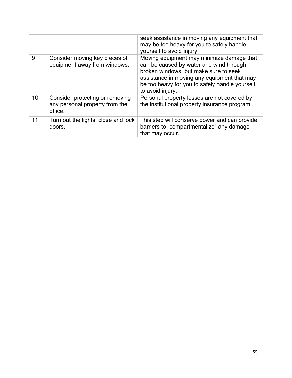|    |                                                                              | seek assistance in moving any equipment that<br>may be too heavy for you to safely handle<br>yourself to avoid injury.                                                                                                                             |  |
|----|------------------------------------------------------------------------------|----------------------------------------------------------------------------------------------------------------------------------------------------------------------------------------------------------------------------------------------------|--|
| 9  | Consider moving key pieces of<br>equipment away from windows.                | Moving equipment may minimize damage that<br>can be caused by water and wind through<br>broken windows, but make sure to seek<br>assistance in moving any equipment that may<br>be too heavy for you to safely handle yourself<br>to avoid injury. |  |
| 10 | Consider protecting or removing<br>any personal property from the<br>office. | Personal property losses are not covered by<br>the institutional property insurance program.                                                                                                                                                       |  |
| 11 | Turn out the lights, close and lock<br>doors.                                | This step will conserve power and can provide<br>barriers to "compartmentalize" any damage<br>that may occur.                                                                                                                                      |  |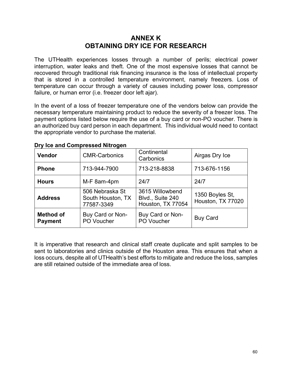## **ANNEX K OBTAINING DRY ICE FOR RESEARCH**

The UTHealth experiences losses through a number of perils; electrical power interruption, water leaks and theft. One of the most expensive losses that cannot be recovered through traditional risk financing insurance is the loss of intellectual property that is stored in a controlled temperature environment, namely freezers. Loss of temperature can occur through a variety of causes including power loss, compressor failure, or human error (i.e. freezer door left ajar).

In the event of a loss of freezer temperature one of the vendors below can provide the necessary temperature maintaining product to reduce the severity of a freezer loss. The payment options listed below require the use of a buy card or non-PO voucher. There is an authorized buy card person in each department. This individual would need to contact the appropriate vendor to purchase the material.

| <b>Vendor</b>                      | <b>CMR-Carbonics</b>                               | Continental<br>Carbonics                                 | Airgas Dry Ice                       |
|------------------------------------|----------------------------------------------------|----------------------------------------------------------|--------------------------------------|
| <b>Phone</b>                       | 713-944-7900                                       | 713-218-8838                                             | 713-676-1156                         |
| <b>Hours</b>                       | 24/7<br>M-F 8am-4pm                                |                                                          | 24/7                                 |
| <b>Address</b>                     | 506 Nebraska St<br>South Houston, TX<br>77587-3349 | 3615 Willowbend<br>Blvd., Suite 240<br>Houston, TX 77054 | 1350 Boyles St,<br>Houston, TX 77020 |
| <b>Method of</b><br><b>Payment</b> | Buy Card or Non-<br>PO Voucher                     | Buy Card or Non-<br>PO Voucher                           | <b>Buy Card</b>                      |

### **Dry Ice and Compressed Nitrogen**

It is imperative that research and clinical staff create duplicate and split samples to be sent to laboratories and clinics outside of the Houston area. This ensures that when a loss occurs, despite all of UTHealth's best efforts to mitigate and reduce the loss, samples are still retained outside of the immediate area of loss.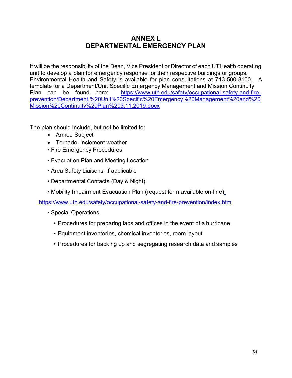# **ANNEX L DEPARTMENTAL EMERGENCY PLAN**

It will be the responsibility of the Dean, Vice President or Director of each UTHealth operating unit to develop a plan for emergency response for their respective buildings or groups. Environmental Health and Safety is available for plan consultations at 713-500-8100. A template for a Department/Unit Specific Emergency Management and Mission Continuity Plan can be found here: [https://www.uth.edu/safety/occupational-safety-and-fire](https://www.uth.edu/safety/occupational-safety-and-fire-prevention/Department%2C%20Unit%20Specific%20Emergency%20Management%20and%20Mission%20Continuity%20Plan%203.11.2019.docx)[prevention/Department,%20Unit%20Specific%20Emergency%20Management%20and%20](https://www.uth.edu/safety/occupational-safety-and-fire-prevention/Department%2C%20Unit%20Specific%20Emergency%20Management%20and%20Mission%20Continuity%20Plan%203.11.2019.docx) [Mission%20Continuity%20Plan%203.11.2019.docx](https://www.uth.edu/safety/occupational-safety-and-fire-prevention/Department%2C%20Unit%20Specific%20Emergency%20Management%20and%20Mission%20Continuity%20Plan%203.11.2019.docx)

The plan should include, but not be limited to:

- Armed Subject
- Tornado, inclement weather
- Fire Emergency Procedures
- Evacuation Plan and Meeting Location
- Area Safety Liaisons, if applicable
- Departmental Contacts (Day & Night)
- Mobility Impairment Evacuation Plan (request form available on-line[\)](https://www.uth.edu/safety/occupational-safety-and-fire-prevention/index.htm)

<https://www.uth.edu/safety/occupational-safety-and-fire-prevention/index.htm>

- Special Operations
	- Procedures for preparing labs and offices in the event of a hurricane
	- Equipment inventories, chemical inventories, room layout
	- Procedures for backing up and segregating research data and samples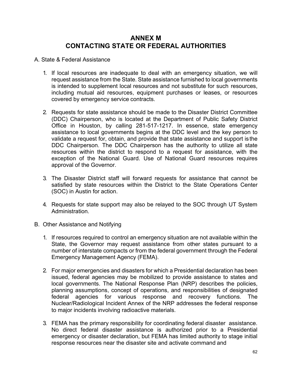## **ANNEX M CONTACTING STATE OR FEDERAL AUTHORITIES**

#### A. State & Federal Assistance

- 1. If local resources are inadequate to deal with an emergency situation, we will request assistance from the State. State assistance furnished to local governments is intended to supplement local resources and not substitute for such resources, including mutual aid resources, equipment purchases or leases, or resources covered by emergency service contracts.
- 2. Requests for state assistance should be made to the Disaster District Committee (DDC) Chairperson, who is located at the Department of Public Safety District Office in Houston, by calling 281-517-1217. In essence, state emergency assistance to local governments begins at the DDC level and the key person to validate a request for, obtain, and provide that state assistance and support is the DDC Chairperson. The DDC Chairperson has the authority to utilize all state resources within the district to respond to a request for assistance, with the exception of the National Guard. Use of National Guard resources requires approval of the Governor.
- 3. The Disaster District staff will forward requests for assistance that cannot be satisfied by state resources within the District to the State Operations Center (SOC) in Austin for action.
- 4. Requests for state support may also be relayed to the SOC through UT System Administration.
- B. Other Assistance and Notifying
	- 1. If resources required to control an emergency situation are not available within the State, the Governor may request assistance from other states pursuant to a number of interstate compacts or from the federal government through the Federal Emergency Management Agency (FEMA).
	- 2. For major emergencies and disasters for which a Presidential declaration has been issued, federal agencies may be mobilized to provide assistance to states and local governments. The National Response Plan (NRP) describes the policies, planning assumptions, concept of operations, and responsibilities of designated federal agencies for various response and recovery functions. The Nuclear/Radiological Incident Annex of the NRP addresses the federal response to major incidents involving radioactive materials.
	- 3. FEMA has the primary responsibility for coordinating federal disaster assistance. No direct federal disaster assistance is authorized prior to a Presidential emergency or disaster declaration, but FEMA has limited authority to stage initial response resources near the disaster site and activate command and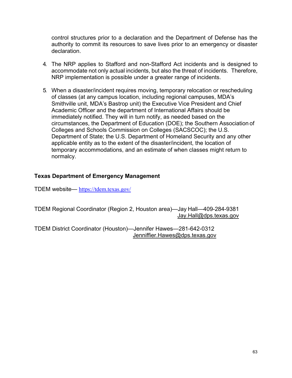control structures prior to a declaration and the Department of Defense has the authority to commit its resources to save lives prior to an emergency or disaster declaration.

- 4. The NRP applies to Stafford and non-Stafford Act incidents and is designed to accommodate not only actual incidents, but also the threat of incidents. Therefore, NRP implementation is possible under a greater range of incidents.
- 5. When a disaster/incident requires moving, temporary relocation or rescheduling of classes (at any campus location, including regional campuses, MDA's Smithville unit, MDA's Bastrop unit) the Executive Vice President and Chief Academic Officer and the department of International Affairs should be immediately notified. They will in turn notify, as needed based on the circumstances, the Department of Education (DOE); the Southern Association of Colleges and Schools Commission on Colleges (SACSCOC); the U.S. Department of State; the U.S. Department of Homeland Security and any other applicable entity as to the extent of the disaster/incident, the location of temporary accommodations, and an estimate of when classes might return to normalcy.

### **Texas Department of Emergency Management**

TDEM website— <https://tdem.texas.gov/>

TDEM Regional Coordinator (Region 2, Houston area)—Jay Hall—409-284-9381 [Jay.Hall@dps.texas.gov](mailto:Jay.Hall@dps.texas.gov)

TDEM District Coordinator (Houston)—Jennifer Hawes—281-642-0312 [Jenniffier.Hawes@dps.texas.gov](mailto:Jenniffier.Hawes@dps.texas.gov)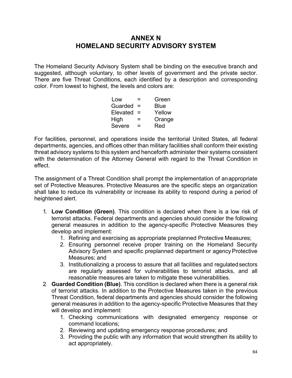## **ANNEX N HOMELAND SECURITY ADVISORY SYSTEM**

The Homeland Security Advisory System shall be binding on the executive branch and suggested, although voluntary, to other levels of government and the private sector. There are five Threat Conditions, each identified by a description and corresponding color. From lowest to highest, the levels and colors are:

| ⋍   | Green  |
|-----|--------|
| $=$ | Blue   |
| $=$ | Yellow |
| =   | Orange |
| =   | Red    |
|     |        |

For facilities, personnel, and operations inside the territorial United States, all federal departments, agencies, and offices other than military facilities shall conform their existing threat advisory systems to this system and henceforth administer their systems consistent with the determination of the Attorney General with regard to the Threat Condition in effect.

The assignment of a Threat Condition shall prompt the implementation of anappropriate set of Protective Measures. Protective Measures are the specific steps an organization shall take to reduce its vulnerability or increase its ability to respond during a period of heightened alert.

- 1. **Low Condition (Green)**. This condition is declared when there is a low risk of terrorist attacks. Federal departments and agencies should consider the following general measures in addition to the agency-specific Protective Measures they develop and implement:
	- 1. Refining and exercising as appropriate preplanned Protective Measures;
	- 2. Ensuring personnel receive proper training on the Homeland Security Advisory System and specific preplanned department or agency Protective Measures; and
	- 3. Institutionalizing a process to assure that all facilities and regulatedsectors are regularly assessed for vulnerabilities to terrorist attacks, and all reasonable measures are taken to mitigate these vulnerabilities.
- 2. **Guarded Condition (Blue)**. This condition is declared when there is a general risk of terrorist attacks. In addition to the Protective Measures taken in the previous Threat Condition, federal departments and agencies should consider the following general measures in addition to the agency-specific Protective Measures that they will develop and implement:
	- 1. Checking communications with designated emergency response or command locations;
	- 2. Reviewing and updating emergency response procedures; and
	- 3. Providing the public with any information that would strengthen its ability to act appropriately.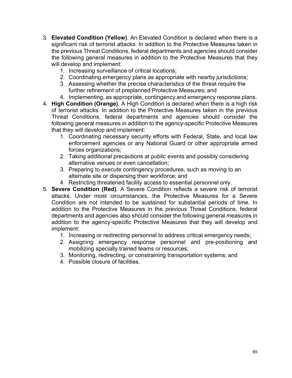- 3. **Elevated Condition (Yellow)**. An Elevated Condition is declared when there is a significant risk of terrorist attacks. In addition to the Protective Measures taken in the previous Threat Conditions, federal departments and agencies should consider the following general measures in addition to the Protective Measures that they will develop and implement:
	- 1. Increasing surveillance of critical locations;
	- 2. Coordinating emergency plans as appropriate with nearby jurisdictions;
	- 3. Assessing whether the precise characteristics of the threat require the further refinement of preplanned Protective Measures; and
	- 4. Implementing, as appropriate, contingency and emergency response plans.
- 4. **High Condition (Orange)**. A High Condition is declared when there is a high risk of terrorist attacks. In addition to the Protective Measures taken in the previous Threat Conditions, federal departments and agencies should consider the following general measures in addition to the agency-specific Protective Measures that they will develop and implement:
	- 1. Coordinating necessary security efforts with Federal, State, and local law enforcement agencies or any National Guard or other appropriate armed forces organizations;
	- 2. Taking additional precautions at public events and possibly considering alternative venues or even cancellation;
	- 3. Preparing to execute contingency procedures, such as moving to an alternate site or dispersing their workforce; and
	- 4. Restricting threatened facility access to essential personnel only.
- 5. **Severe Condition (Red)**. A Severe Condition reflects a severe risk of terrorist attacks. Under most circumstances, the Protective Measures for a Severe Condition are not intended to be sustained for substantial periods of time. In addition to the Protective Measures in the previous Threat Conditions, federal departments and agencies also should consider the following general measures in addition to the agency-specific Protective Measures that they will develop and implement:
	- 1. Increasing or redirecting personnel to address critical emergency needs;
	- 2. Assigning emergency response personnel and pre-positioning and mobilizing specially trained teams or resources;
	- 3. Monitoring, redirecting, or constraining transportation systems; and
	- 4. Possible closure of facilities.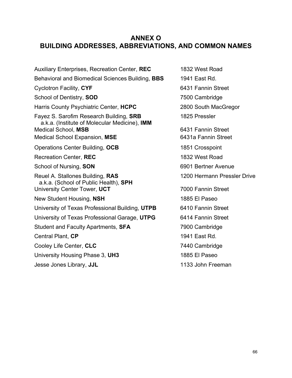## **ANNEX O BUILDING ADDRESSES, ABBREVIATIONS, AND COMMON NAMES**

Auxiliary Enterprises, Recreation Center, **REC** 1832 West Road Behavioral and Biomedical Sciences Building, **BBS** 1941 East Rd. Cyclotron Facility, CYF **6431 Fannin Street** School of Dentistry, **SOD** 7500 Cambridge Harris County Psychiatric Center, **HCPC** 2800 South MacGregor Fayez S. Sarofim Research Building, **SRB** 1825 Pressler a.k.a. (Institute of Molecular Medicine), **IMM** Medical School, **MSB** 6431 Fannin Street Medical School Expansion, MSE 6431a Fannin Street Operations Center Building, **OCB** 1851 Crosspoint Recreation Center, **REC** 1832 West Road School of Nursing, **SON** 6901 Bertner Avenue Reuel A. Stallones Building, **RAS** 1200 Hermann Pressler Drive a.k.a. (School of Public Health), **SPH** University Center Tower, UCT **7000 Fannin Street** New Student Housing, **NSH** 1885 El Paseo University of Texas Professional Building, **UTPB** 6410 Fannin Street University of Texas Professional Garage, **UTPG** 6414 Fannin Street Student and Faculty Apartments, **SFA** 7900 Cambridge **Central Plant, CP** 1941 East Rd. Cooley Life Center, **CLC** 7440 Cambridge University Housing Phase 3, **UH3** 1885 El Paseo Jesse Jones Library, **JJL** 1133 John Freeman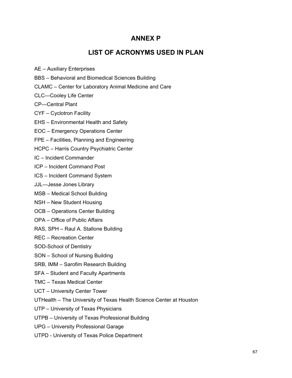## **ANNEX P**

## **LIST OF ACRONYMS USED IN PLAN**

- AE Auxiliary Enterprises
- BBS Behavioral and Biomedical Sciences Building
- CLAMC Center for Laboratory Animal Medicine and Care
- CLC—Cooley Life Center
- CP—Central Plant
- CYF Cyclotron Facility
- EHS Environmental Health and Safety
- EOC Emergency Operations Center
- FPE Facilities, Planning and Engineering
- HCPC Harris Country Psychiatric Center
- IC Incident Commander
- ICP Incident Command Post
- ICS Incident Command System
- JJL—Jesse Jones Library
- MSB Medical School Building
- NSH New Student Housing
- OCB Operations Center Building
- OPA Office of Public Affairs
- RAS, SPH Raul A. Stallone Building
- REC Recreation Center
- SOD-School of Dentistry
- SON School of Nursing Building
- SRB, IMM Sarofim Research Building
- SFA Student and Faculty Apartments
- TMC Texas Medical Center
- UCT University Center Tower
- UTHealth The University of Texas Health Science Center at Houston
- UTP University of Texas Physicians
- UTPB University of Texas Professional Building
- UPG University Professional Garage
- UTPD University of Texas Police Department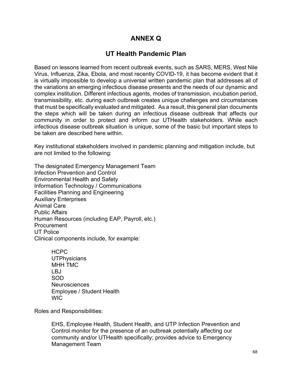## **ANNEX Q**

## **UT Health Pandemic Plan**

Based on lessons learned from recent outbreak events, such as SARS, MERS, West Nile Virus, Influenza, Zika, Ebola, and most recently COVID-19, it has become evident that it is virtually impossible to develop a universal written pandemic plan that addresses all of the variations an emerging infectious disease presents and the needs of our dynamic and complex institution. Different infectious agents, modes of transmission, incubation period, transmissibility, etc. during each outbreak creates unique challenges and circumstances that must be specifically evaluated and mitigated. As a result, this general plan documents the steps which will be taken during an infectious disease outbreak that affects our community in order to protect and inform our UTHealth stakeholders. While each infectious disease outbreak situation is unique, some of the basic but important steps to be taken are described here within.

Key institutional stakeholders involved in pandemic planning and mitigation include, but are not limited to the following:

The designated Emergency Management Team Infection Prevention and Control Environmental Health and Safety Information Technology / Communications Facilities Planning and Engineering Auxiliary Enterprises Animal Care Public Affairs Human Resources (including EAP, Payroll, etc.) Procurement UT Police Clinical components include, for example:

> HCPC **UTPhysicians** MHH TMC LBJ SOD Neurosciences Employee / Student Health WIC

Roles and Responsibilities:

EHS, Employee Health, Student Health, and UTP Infection Prevention and Control monitor for the presence of an outbreak potentially affecting our community and/or UTHealth specifically; provides advice to Emergency Management Team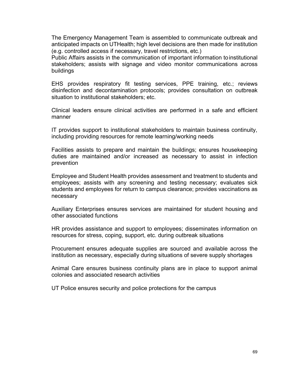The Emergency Management Team is assembled to communicate outbreak and anticipated impacts on UTHealth; high level decisions are then made for institution (e.g. controlled access if necessary, travel restrictions, etc.)

Public Affairs assists in the communication of important information toinstitutional stakeholders; assists with signage and video monitor communications across buildings

EHS provides respiratory fit testing services, PPE training, etc.; reviews disinfection and decontamination protocols; provides consultation on outbreak situation to institutional stakeholders; etc.

Clinical leaders ensure clinical activities are performed in a safe and efficient manner

IT provides support to institutional stakeholders to maintain business continuity, including providing resources for remote learning/working needs

Facilities assists to prepare and maintain the buildings; ensures housekeeping duties are maintained and/or increased as necessary to assist in infection prevention

Employee and Student Health provides assessment and treatment to students and employees; assists with any screening and testing necessary; evaluates sick students and employees for return to campus clearance; provides vaccinations as necessary

Auxiliary Enterprises ensures services are maintained for student housing and other associated functions

HR provides assistance and support to employees; disseminates information on resources for stress, coping, support, etc. during outbreak situations

Procurement ensures adequate supplies are sourced and available across the institution as necessary, especially during situations of severe supply shortages

Animal Care ensures business continuity plans are in place to support animal colonies and associated research activities

UT Police ensures security and police protections for the campus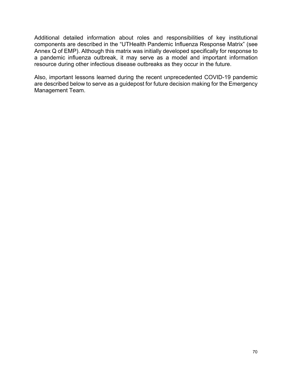Additional detailed information about roles and responsibilities of key institutional components are described in the "UTHealth Pandemic Influenza Response Matrix" (see Annex Q of EMP). Although this matrix was initially developed specifically for response to a pandemic influenza outbreak, it may serve as a model and important information resource during other infectious disease outbreaks as they occur in the future.

Also, important lessons learned during the recent unprecedented COVID-19 pandemic are described below to serve as a guidepost for future decision making for the Emergency Management Team.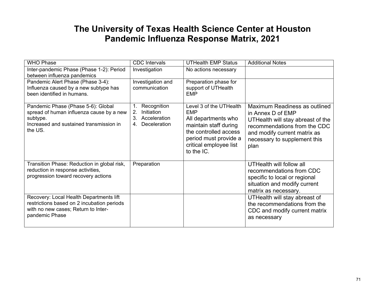# **The University of Texas Health Science Center at Houston Pandemic Influenza Response Matrix, 2021**

| <b>WHO Phase</b>                                                                                                                                 | <b>CDC</b> Intervals                                                                                | <b>UTHealth EMP Status</b>                                                                                                                                                      | <b>Additional Notes</b>                                                                                                                                                                         |
|--------------------------------------------------------------------------------------------------------------------------------------------------|-----------------------------------------------------------------------------------------------------|---------------------------------------------------------------------------------------------------------------------------------------------------------------------------------|-------------------------------------------------------------------------------------------------------------------------------------------------------------------------------------------------|
| Inter-pandemic Phase (Phase 1-2): Period                                                                                                         | Investigation                                                                                       | No actions necessary                                                                                                                                                            |                                                                                                                                                                                                 |
| between influenza pandemics                                                                                                                      |                                                                                                     |                                                                                                                                                                                 |                                                                                                                                                                                                 |
| Pandemic Alert Phase (Phase 3-4):                                                                                                                | Investigation and                                                                                   | Preparation phase for                                                                                                                                                           |                                                                                                                                                                                                 |
| Influenza caused by a new subtype has                                                                                                            | communication                                                                                       | support of UTHealth                                                                                                                                                             |                                                                                                                                                                                                 |
| been identified in humans.                                                                                                                       |                                                                                                     | <b>EMP</b>                                                                                                                                                                      |                                                                                                                                                                                                 |
| Pandemic Phase (Phase 5-6): Global<br>spread of human influenza cause by a new<br>subtype.<br>Increased and sustained transmission in<br>the US. | Recognition<br>$\mathbf 1$ .<br>2.<br><b>Initiation</b><br>3.<br>Acceleration<br>Deceleration<br>4. | Level 3 of the UTHealth<br><b>EMP</b><br>All departments who<br>maintain staff during<br>the controlled access<br>period must provide a<br>critical employee list<br>to the IC. | Maximum Readiness as outlined<br>in Annex D of EMP<br>UTHealth will stay abreast of the<br>recommendations from the CDC<br>and modify current matrix as<br>necessary to supplement this<br>plan |
| Transition Phase: Reduction in global risk,<br>reduction in response activities,<br>progression toward recovery actions                          | Preparation                                                                                         |                                                                                                                                                                                 | UTHealth will follow all<br>recommendations from CDC<br>specific to local or regional<br>situation and modify current<br>matrix as necessary.                                                   |
| Recovery: Local Health Departments lift<br>restrictions based on 2 incubation periods<br>with no new cases; Return to Inter-<br>pandemic Phase   |                                                                                                     |                                                                                                                                                                                 | UTHealth will stay abreast of<br>the recommendations from the<br>CDC and modify current matrix<br>as necessary                                                                                  |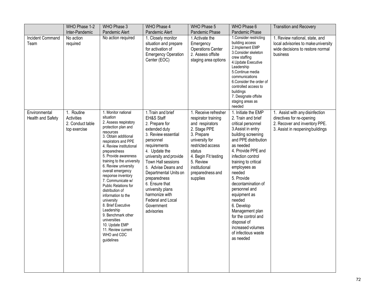|                                    | WHO Phase 1-2                                                | WHO Phase 3                                                                                                                                                                                                                                                                                                                                                                                                                                                                                                                                                         | WHO Phase 4                                                                                                                                                                                                                                                                                                                                                       | WHO Phase 5                                                                                                                                                                                                                         | WHO Phase 6                                                                                                                                                                                                                                                                                                                                                                                                                                                  | <b>Transition and Recovery</b>                                                                                                    |
|------------------------------------|--------------------------------------------------------------|---------------------------------------------------------------------------------------------------------------------------------------------------------------------------------------------------------------------------------------------------------------------------------------------------------------------------------------------------------------------------------------------------------------------------------------------------------------------------------------------------------------------------------------------------------------------|-------------------------------------------------------------------------------------------------------------------------------------------------------------------------------------------------------------------------------------------------------------------------------------------------------------------------------------------------------------------|-------------------------------------------------------------------------------------------------------------------------------------------------------------------------------------------------------------------------------------|--------------------------------------------------------------------------------------------------------------------------------------------------------------------------------------------------------------------------------------------------------------------------------------------------------------------------------------------------------------------------------------------------------------------------------------------------------------|-----------------------------------------------------------------------------------------------------------------------------------|
|                                    | Inter-Pandemic                                               | Pandemic Alert                                                                                                                                                                                                                                                                                                                                                                                                                                                                                                                                                      | Pandemic Alert                                                                                                                                                                                                                                                                                                                                                    | Pandemic Phase                                                                                                                                                                                                                      | Pandemic Phase                                                                                                                                                                                                                                                                                                                                                                                                                                               |                                                                                                                                   |
| Incident Command<br>Team           | No action<br>required                                        | No action required                                                                                                                                                                                                                                                                                                                                                                                                                                                                                                                                                  | 1. Closely monitor<br>situation and prepare<br>for activation of<br><b>Emergency Operation</b><br>Center (EOC)                                                                                                                                                                                                                                                    | 1. Activate the<br>Emergency<br><b>Operations Center</b><br>2. Assess offsite<br>staging area options                                                                                                                               | 1. Consider restricting<br>building access<br>2.Implement EMP<br>3. Consider skeleton<br>crew staffing<br>4. Update Executive<br>Leadership<br>5. Continue media<br>communications<br>6. Consider the order of<br>controlled access to<br>buildings<br>7. Designate offsite<br>staging areas as<br>needed                                                                                                                                                    | 1. Review national, state, and<br>local advisories to make university<br>wide decisions to restore normal<br>business             |
| Environmental<br>Health and Safety | 1. Routine<br>Activities<br>2. Conduct table<br>top exercise | 1. Monitor national<br>situation<br>2. Assess respiratory<br>protection plan and<br>resources<br>3. Obtain additional<br>respirators and PPE<br>4. Review institutional<br>preparedness<br>5. Provide awareness<br>training to the university<br>6. Review university<br>overall emergency<br>response inventory<br>7. Communicate w/<br>Public Relations for<br>distribution of<br>information to the<br>university<br>8. Brief Executive<br>Leadership<br>9. Benchmark other<br>universities<br>10. Update EMP<br>11. Review current<br>WHO and CDC<br>guidelines | 1. Train and brief<br>EH&S Staff<br>2. Prepare for<br>extended duty<br>3. Review essential<br>personnel<br>requirements<br>4. Update the<br>university and provide<br>Town Hall sessions<br>5. Advise Deans and<br>Departmental Units on<br>preparedness<br>6. Ensure that<br>university plans<br>harmonize with<br>Federal and Local<br>Government<br>advisories | 1. Receive refresher<br>respirator training<br>and respirators<br>2. Stage PPE<br>3. Prepare<br>university for<br>restricted access<br>status<br>4. Begin Fit testing<br>5. Review<br>institutional<br>preparedness and<br>supplies | 1. Initiate the EMP<br>2. Train and brief<br>critical personnel<br>3. Assist in entry<br>building screening<br>and PPE distribution<br>as needed<br>4. Provide PPE and<br>infection control<br>training to critical<br>employees as<br>needed<br>5. Provide<br>decontamination of<br>personnel and<br>equipment as<br>needed<br>6. Develop<br>Management plan<br>for the control and<br>disposal of<br>increased volumes<br>of infectious waste<br>as needed | 1. Assist with any disinfection<br>directives for re-opening<br>2. Recover and inventory PPE.<br>3. Assist in reopening buildings |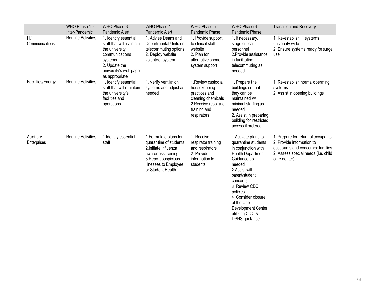|                          | WHO Phase 1-2             | WHO Phase 3                                                                                                                                                   | WHO Phase 4                                                                                                                                                           | WHO Phase 5                                                                                                                        | WHO Phase 6                                                                                                                                                                                                                                                                                            | <b>Transition and Recovery</b>                                                                                                                              |
|--------------------------|---------------------------|---------------------------------------------------------------------------------------------------------------------------------------------------------------|-----------------------------------------------------------------------------------------------------------------------------------------------------------------------|------------------------------------------------------------------------------------------------------------------------------------|--------------------------------------------------------------------------------------------------------------------------------------------------------------------------------------------------------------------------------------------------------------------------------------------------------|-------------------------------------------------------------------------------------------------------------------------------------------------------------|
|                          | Inter-Pandemic            | Pandemic Alert                                                                                                                                                | Pandemic Alert                                                                                                                                                        | Pandemic Phase                                                                                                                     | Pandemic Phase                                                                                                                                                                                                                                                                                         |                                                                                                                                                             |
| T <br>Communications     | <b>Routine Activities</b> | 1. Identify essential<br>staff that will maintain<br>the university<br>communications<br>systems.<br>2. Update the<br>university's web page<br>as appropriate | 1. Advise Deans and<br>Departmental Units on<br>telecommuting options<br>2. Deploy website<br>volunteer system                                                        | 1. Provide support<br>to clinical staff<br>website<br>2. Plan for<br>alternative phone<br>system support                           | 1. If necessary,<br>stage critical<br>personnel<br>2. Provide assistance<br>in facilitating<br>telecommuting as<br>needed                                                                                                                                                                              | 1. Re-establish IT systems<br>university wide<br>2. Ensure systems ready for surge<br>use                                                                   |
| Facilities/Energy        | <b>Routine Activities</b> | 1. Identify essential<br>staff that will maintain<br>the university's<br>facilities and<br>operations                                                         | 1. Verify ventilation<br>systems and adjust as<br>needed                                                                                                              | 1. Review custodial<br>housekeeping<br>practices and<br>cleaning chemicals<br>2. Receive respirator<br>training and<br>respirators | 1. Prepare the<br>buildings so that<br>they can be<br>maintained w/<br>minimal staffing as<br>needed<br>2. Assist in preparing<br>building for restricted<br>access if ordered                                                                                                                         | 1. Re-establish normal operating<br>systems<br>2. Assist in opening buildings                                                                               |
| Auxiliary<br>Enterprises | Routine Activities        | 1.Identify essential<br>staff                                                                                                                                 | 1. Formulate plans for<br>quarantine of students<br>2. Initiate influenza<br>awareness training<br>3. Report suspicious<br>illnesses to Employee<br>or Student Health | 1. Receive<br>respirator training<br>and respirators<br>2. Provide<br>information to<br>students                                   | 1. Activate plans to<br>quarantine students<br>in conjunction with<br><b>Health Department</b><br>Guidance as<br>needed<br>2. Assist with<br>parent/student<br>concerns<br>3. Review CDC<br>policies<br>4. Consider closure<br>of the Child<br>Development Center<br>utilizing CDC &<br>DSHS guidance. | 1. Prepare for return of occupants.<br>2. Provide information to<br>occupants and concerned families<br>2. Assess special needs (i.e. child<br>care center) |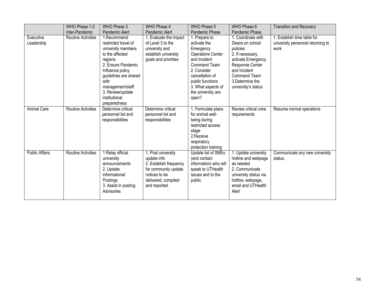|                         | WHO Phase 1-2             | WHO Phase 3                                                                                                                                                                                                                                 | WHO Phase 4                                                                                                                                  | WHO Phase 5                                                                                                                                                                                                              | WHO Phase 6                                                                                                                                                                               | <b>Transition and Recovery</b>                                           |
|-------------------------|---------------------------|---------------------------------------------------------------------------------------------------------------------------------------------------------------------------------------------------------------------------------------------|----------------------------------------------------------------------------------------------------------------------------------------------|--------------------------------------------------------------------------------------------------------------------------------------------------------------------------------------------------------------------------|-------------------------------------------------------------------------------------------------------------------------------------------------------------------------------------------|--------------------------------------------------------------------------|
|                         | Inter-Pandemic            | Pandemic Alert                                                                                                                                                                                                                              | Pandemic Alert                                                                                                                               | Pandemic Phase                                                                                                                                                                                                           | Pandemic Phase                                                                                                                                                                            |                                                                          |
| Executive<br>Leadership | <b>Routine Activities</b> | 1.Recommend<br>restricted travel of<br>university members<br>to the affected<br>regions<br>2. Ensure Pandemic<br>Influenza policy<br>guidelines are shared<br>with<br>management/staff<br>3. Review/update<br>institutional<br>preparedness | 1. Evaluate the impact<br>of Level 3 to the<br>university and<br>establish university<br>goals and priorities                                | 1. Prepare to<br>activate the<br>Emergency<br><b>Operations Center</b><br>and Incident<br><b>Command Team</b><br>2. Consider<br>cancellation of<br>public functions<br>3. What aspects of<br>the university are<br>open? | 1. Coordinate with<br>Deans on school<br>policies<br>2. If necessary,<br>activate Emergency<br>Response Center<br>and Incident<br>Command Team<br>3. Determine the<br>university's status | 1. Establish time table for<br>university personnel returning to<br>work |
| <b>Animal Care</b>      | <b>Routine Activities</b> | Determine critical<br>personnel list and<br>responsibilities                                                                                                                                                                                | Determine critical<br>personnel list and<br>responsibilities                                                                                 | 1. Formulate plans<br>for animal well-<br>being during<br>restricted access<br>stage<br>2.Receive<br>respiratory<br>protection training                                                                                  | Review critical crew<br>requirements                                                                                                                                                      | Resume normal operations                                                 |
| <b>Public Affairs</b>   | <b>Routine Activities</b> | 1. Relay official<br>university<br>announcements<br>2. Update<br>informational<br>Postings<br>3. Assist in posting<br>Advisories                                                                                                            | 1. Post university<br>update info<br>2. Establish frequency<br>for community update<br>notices to be<br>delivered, compiled<br>and reported. | Update list of SMEs<br>(and contact<br>information) who will<br>speak to UTHealth<br>issues and to the<br>public.                                                                                                        | 1. Update university<br>hotline and webpage<br>as needed<br>2. Communicate<br>university status via<br>hotline, webpage,<br>email and UTHealth<br>Alert                                   | Communicate any new university<br>status.                                |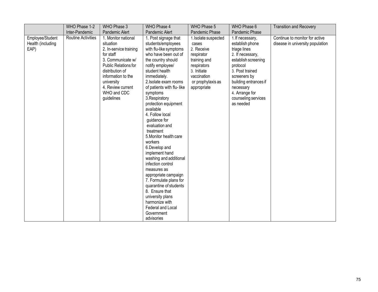|                   | WHO Phase 1-2             | WHO Phase 3            | WHO Phase 4               | WHO Phase 5          | WHO Phase 6           | <b>Transition and Recovery</b>   |
|-------------------|---------------------------|------------------------|---------------------------|----------------------|-----------------------|----------------------------------|
|                   | Inter-Pandemic            | Pandemic Alert         | Pandemic Alert            | Pandemic Phase       | Pandemic Phase        |                                  |
| Employee/Student  | <b>Routine Activities</b> | 1. Monitor national    | 1. Post signage that      | 1. Isolate suspected | 1. If necessary,      | Continue to monitor for active   |
| Health (including |                           | situation              | students/employees        | cases                | establish phone       | disease in university population |
| EAP)              |                           | 2. In-service training | with flu-like symptoms    | 2. Receive           | triage lines          |                                  |
|                   |                           | for staff              | who have been out of      | respirator           | 2. If necessary,      |                                  |
|                   |                           | 3. Communicate w/      | the country should        | training and         | establish screening   |                                  |
|                   |                           | Public Relations for   | notify employee/          | respirators          | protocol              |                                  |
|                   |                           | distribution of        | student health            | 3. Initiate          | 3. Post trained       |                                  |
|                   |                           | information to the     | immediately.              | vaccination          | screeners by          |                                  |
|                   |                           | university             | 2. Isolate exam rooms     | or prophylaxis as    | building entrances if |                                  |
|                   |                           | 4. Review current      | of patients with flu-like | appropriate          | necessary             |                                  |
|                   |                           | WHO and CDC            | symptoms                  |                      | 4. Arrange for        |                                  |
|                   |                           | guidelines             | 3. Respiratory            |                      | counseling services   |                                  |
|                   |                           |                        | protection equipment      |                      | as needed             |                                  |
|                   |                           |                        | available                 |                      |                       |                                  |
|                   |                           |                        | 4. Follow local           |                      |                       |                                  |
|                   |                           |                        | guidance for              |                      |                       |                                  |
|                   |                           |                        | evaluation and            |                      |                       |                                  |
|                   |                           |                        | treatment                 |                      |                       |                                  |
|                   |                           |                        | 5. Monitor health care    |                      |                       |                                  |
|                   |                           |                        | workers                   |                      |                       |                                  |
|                   |                           |                        | 6. Develop and            |                      |                       |                                  |
|                   |                           |                        | implement hand            |                      |                       |                                  |
|                   |                           |                        | washing and additional    |                      |                       |                                  |
|                   |                           |                        | infection control         |                      |                       |                                  |
|                   |                           |                        | measures as               |                      |                       |                                  |
|                   |                           |                        | appropriate campaign      |                      |                       |                                  |
|                   |                           |                        | 7. Formulate plans for    |                      |                       |                                  |
|                   |                           |                        | quarantine of students    |                      |                       |                                  |
|                   |                           |                        | 8. Ensure that            |                      |                       |                                  |
|                   |                           |                        | university plans          |                      |                       |                                  |
|                   |                           |                        | harmonize with            |                      |                       |                                  |
|                   |                           |                        | Federal and Local         |                      |                       |                                  |
|                   |                           |                        | Government                |                      |                       |                                  |
|                   |                           |                        | advisories                |                      |                       |                                  |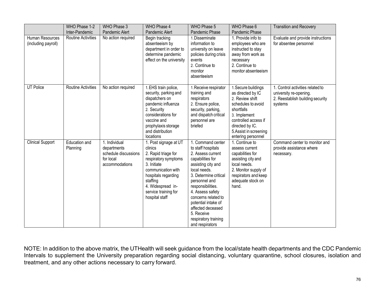|                                        | WHO Phase 1-2             | WHO Phase 3                                                                         | WHO Phase 4                                                                                                                                                                                                            | WHO Phase 5                                                                                                                                                                                                                                                                                                                           | WHO Phase 6                                                                                                                                                                                                | <b>Transition and Recovery</b>                                                                            |
|----------------------------------------|---------------------------|-------------------------------------------------------------------------------------|------------------------------------------------------------------------------------------------------------------------------------------------------------------------------------------------------------------------|---------------------------------------------------------------------------------------------------------------------------------------------------------------------------------------------------------------------------------------------------------------------------------------------------------------------------------------|------------------------------------------------------------------------------------------------------------------------------------------------------------------------------------------------------------|-----------------------------------------------------------------------------------------------------------|
|                                        | Inter-Pandemic            | Pandemic Alert                                                                      | Pandemic Alert                                                                                                                                                                                                         | Pandemic Phase                                                                                                                                                                                                                                                                                                                        | Pandemic Phase                                                                                                                                                                                             |                                                                                                           |
| Human Resources<br>(including payroll) | <b>Routine Activities</b> | No action required                                                                  | Begin tracking<br>absenteeism by<br>department in order to<br>determine pandemic<br>effect on the university                                                                                                           | 1. Disseminate<br>information to<br>university on leave<br>policies during crisis<br>events<br>2. Continue to<br>monitor<br>absenteeism                                                                                                                                                                                               | 1. Provide info to<br>employees who are<br>instructed to stay<br>away from work as<br>necessary<br>2. Continue to<br>monitor absenteeism                                                                   | Evaluate and provide instructions<br>for absentee personnel                                               |
| <b>UT Police</b>                       | <b>Routine Activities</b> | No action required                                                                  | 1. EHS train police,<br>security, parking and<br>dispatchers on<br>pandemic influenza<br>2. Security<br>considerations for<br>vaccine and<br>prophylaxis storage<br>and distribution<br>locations                      | 1. Receive respirator<br>training and<br>respirators<br>2. Ensure police,<br>security, parking,<br>and dispatch critical<br>personnel are<br>briefed                                                                                                                                                                                  | 1. Secure buildings<br>as directed by IC<br>2. Review shift<br>schedules to avoid<br>shortfalls<br>3. Implement<br>controlled access if<br>directed by IC.<br>5. Assist in screening<br>entering personnel | 1. Control activities related to<br>university re-opening.<br>2. Reestablish building security<br>systems |
| <b>Clinical Support</b>                | Education and<br>Planning | 1. Individual<br>departments<br>schedule discussions<br>for local<br>accommodations | 1. Post signage at UT<br>clinics<br>2. Rapid triage for<br>respiratory symptoms<br>3. Initiate<br>communication with<br>hospitals regarding<br>staffing<br>4. Widespread in-<br>service training for<br>hospital staff | 1. Command center<br>to staff hospitals<br>2. Assess current<br>capabilities for<br>assisting city and<br>local needs.<br>3. Determine critical<br>personnel and<br>responsibilities.<br>4. Assess safety<br>concerns related to<br>potential intake of<br>affected deceased<br>5. Receive<br>respiratory training<br>and respirators | 1. Continue to<br>assess current<br>capabilities for<br>assisting city and<br>local needs.<br>2. Monitor supply of<br>respirators and keep<br>adequate stock on<br>hand.                                   | Command center to monitor and<br>provide assistance where<br>necessary.                                   |

NOTE: In addition to the above matrix, the UTHealth will seek guidance from the local/state health departments and the CDC Pandemic Intervals to supplement the University preparation regarding social distancing, voluntary quarantine, school closures, isolation and treatment, and any other actions necessary to carry forward.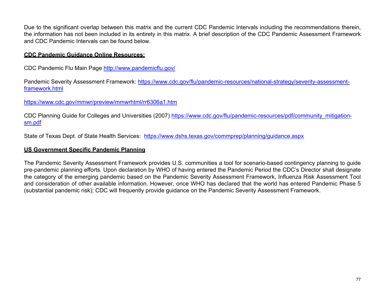Due to the significant overlap between this matrix and the current CDC Pandemic Intervals including the recommendations therein, the information has not been included in its entirety in this matrix. A brief description of the CDC Pandemic Assessment Framework and CDC Pandemic Intervals can be found below.

#### **CDC Pandemic Guidance Online Resources:**

CDC Pandemic Flu Main Page<http://www.pandemicflu.gov/>

Pandemic Severity Assessment Framework: [https://www.cdc.gov/flu/pandemic-resources/national-strategy/severity-assessment](https://www.cdc.gov/flu/pandemic-resources/national-strategy/severity-assessment-framework.html)[framework.html](https://www.cdc.gov/flu/pandemic-resources/national-strategy/severity-assessment-framework.html)

<https://www.cdc.gov/mmwr/preview/mmwrhtml/rr6306a1.htm>

CDC Planning Guide for Colleges and Universities (2007) [https://www.cdc.gov/flu/pandemic-resources/pdf/community\\_mitigation](https://www.cdc.gov/flu/pandemic-resources/pdf/community_mitigation-sm.pdf)[sm.pdf](https://www.cdc.gov/flu/pandemic-resources/pdf/community_mitigation-sm.pdf)

State of Texas Dept. of State Health Services: <https://www.dshs.texas.gov/commprep/planning/guidance.aspx>

#### **US Government Specific Pandemic Planning**

The Pandemic Severity Assessment Framework provides U.S. communities a tool for scenario-based contingency planning to guide pre-pandemic planning efforts. Upon declaration by WHO of having entered the Pandemic Period the CDC's Director shall designate the category of the emerging pandemic based on the Pandemic Severity Assessment Framework, Influenza Risk Assessment Tool and consideration of other available information. However, once WHO has declared that the world has entered Pandemic Phase 5 (substantial pandemic risk); CDC will frequently provide guidance on the Pandemic Severity Assessment Framework.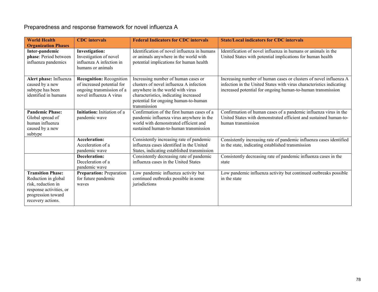## Preparedness and response framework for novel influenza A

| <b>World Health</b><br><b>Organization Phases</b>                                                                                           | <b>CDC</b> intervals                                                                                                  | <b>Federal Indicators for CDC intervals</b>                                                                                                                                                                         | <b>State/Local indicators for CDC intervals</b>                                                                                                                                                          |
|---------------------------------------------------------------------------------------------------------------------------------------------|-----------------------------------------------------------------------------------------------------------------------|---------------------------------------------------------------------------------------------------------------------------------------------------------------------------------------------------------------------|----------------------------------------------------------------------------------------------------------------------------------------------------------------------------------------------------------|
| Inter-pandemic<br>phase: Period between<br>influenza pandemics                                                                              | <b>Investigation:</b><br>Investigation of novel<br>influenza A infection in<br>humans or animals                      | Identification of novel influenza in humans<br>or animals anywhere in the world with<br>potential implications for human health                                                                                     | Identification of novel influenza in humans or animals in the<br>United States with potential implications for human health                                                                              |
| Alert phase: Influenza<br>caused by a new<br>subtype has been<br>identified in humans                                                       | <b>Recognition: Recognition</b><br>of increased potential for<br>ongoing transmission of a<br>novel influenza A virus | Increasing number of human cases or<br>clusters of novel influenza A infection<br>anywhere in the world with virus<br>characteristics, indicating increased<br>potential for ongoing human-to-human<br>transmission | Increasing number of human cases or clusters of novel influenza A<br>infection in the United States with virus characteristics indicating<br>increased potential for ongoing human-to-human transmission |
| <b>Pandemic Phase:</b><br>Global spread of<br>human influenza<br>caused by a new<br>subtype                                                 | Initiation: Initiation of a<br>pandemic wave                                                                          | Confirmation of the first human cases of a<br>pandemic influenza virus anywhere in the<br>world with demonstrated efficient and<br>sustained human-to-human transmission                                            | Confirmation of human cases of a pandemic influenza virus in the<br>United States with demonstrated efficient and sustained human-to-<br>human transmission                                              |
|                                                                                                                                             | <b>Acceleration:</b><br>Acceleration of a<br>pandemic wave                                                            | Consistently increasing rate of pandemic<br>influenza cases identified in the United<br>States, indicating established transmission                                                                                 | Consistently increasing rate of pandemic influenza cases identified<br>in the state, indicating established transmission                                                                                 |
|                                                                                                                                             | Deceleration:<br>Deceleration of a<br>pandemic wave                                                                   | Consistently decreasing rate of pandemic<br>influenza cases in the United States                                                                                                                                    | Consistently decreasing rate of pandemic influenza cases in the<br>state                                                                                                                                 |
| <b>Transition Phase:</b><br>Reduction in global<br>risk, reduction in<br>response activities, or<br>progression toward<br>recovery actions. | <b>Preparation: Preparation</b><br>for future pandemic<br>waves                                                       | Low pandemic influenza activity but<br>continued outbreaks possible in some<br>jurisdictions                                                                                                                        | Low pandemic influenza activity but continued outbreaks possible<br>in the state                                                                                                                         |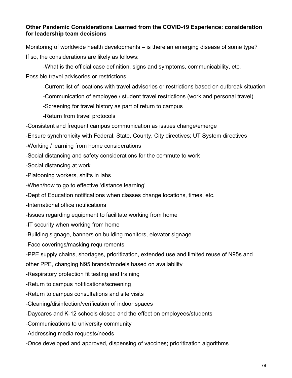#### **Other Pandemic Considerations Learned from the COVID-19 Experience: consideration for leadership team decisions**

Monitoring of worldwide health developments – is there an emerging disease of some type? If so, the considerations are likely as follows:

-What is the official case definition, signs and symptoms, communicability, etc. Possible travel advisories or restrictions:

- -Current list of locations with travel advisories or restrictions based on outbreak situation
- -Communication of employee / student travel restrictions (work and personal travel)
- -Screening for travel history as part of return to campus
- -Return from travel protocols
- -Consistent and frequent campus communication as issues change/emerge
- -Ensure synchronicity with Federal, State, County, City directives; UT System directives
- -Working / learning from home considerations
- -Social distancing and safety considerations for the commute to work
- -Social distancing at work
- -Platooning workers, shifts in labs
- -When/how to go to effective 'distance learning'
- -Dept of Education notifications when classes change locations, times, etc.
- -International office notifications
- -Issues regarding equipment to facilitate working from home
- -IT security when working from home
- -Building signage, banners on building monitors, elevator signage
- -Face coverings/masking requirements
- -PPE supply chains, shortages, prioritization, extended use and limited reuse of N95s and
- other PPE, changing N95 brands/models based on availability
- -Respiratory protection fit testing and training
- -Return to campus notifications/screening
- -Return to campus consultations and site visits
- -Cleaning/disinfection/verification of indoor spaces
- -Daycares and K-12 schools closed and the effect on employees/students
- -Communications to university community
- -Addressing media requests/needs
- -Once developed and approved, dispensing of vaccines; prioritization algorithms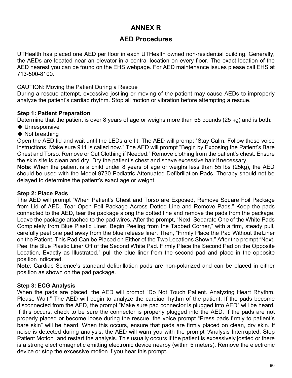## **ANNEX R**

### **AED Procedures**

UTHealth has placed one AED per floor in each UTHealth owned non-residential building. Generally, the AEDs are located near an elevator in a central location on every floor. The exact location of the AED nearest you can be found on the EHS webpage. For AED maintenance issues please call EHS at 713-500-8100.

#### CAUTION: Moving the Patient During a Rescue

During a rescue attempt, excessive jostling or moving of the patient may cause AEDs to improperly analyze the patient's cardiac rhythm. Stop all motion or vibration before attempting a rescue.

#### **Step 1: Patient Preparation**

Determine that the patient is over 8 years of age or weighs more than 55 pounds (25 kg) and is both:

- ◆ Unresponsive
- ◆ Not breathing

Open the AED lid and wait until the LEDs are lit. The AED will prompt "Stay Calm. Follow these voice instructions. Make sure 911 is called now." The AED will prompt "Begin by Exposing the Patient's Bare Chest and Torso. Remove or Cut Clothing if Needed." Remove clothing from the patient's chest. Ensure the skin site is clean and dry. Dry the patient's chest and shave excessive hair if necessary.

**Note**: When the patient is a child under 8 years of age or weighs less than 55 lbs (25kg), the AED should be used with the Model 9730 Pediatric Attenuated Defibrillation Pads. Therapy should not be delayed to determine the patient's exact age or weight.

#### **Step 2: Place Pads**

The AED will prompt "When Patient's Chest and Torso are Exposed, Remove Square Foil Package from Lid of AED. Tear Open Foil Package Across Dotted Line and Remove Pads." Keep the pads connected to the AED, tear the package along the dotted line and remove the pads from the package. Leave the package attached to the pad wires. After the prompt, "Next, Separate One of the White Pads Completely from Blue Plastic Liner. Begin Peeling from the Tabbed Corner," with a firm, steady pull, carefully peel one pad away from the blue release liner. Then, "Firmly Place the Pad Without theLiner on the Patient. This Pad Can be Placed on Either of the Two Locations Shown." After the prompt "Next, Peel the Blue Plastic Liner Off of the Second White Pad. Firmly Place the Second Pad on the Opposite Location, Exactly as Illustrated," pull the blue liner from the second pad and place in the opposite position indicated.

**Note**: Cardiac Science's standard defibrillation pads are non-polarized and can be placed in either position as shown on the pad package.

#### **Step 3: ECG Analysis**

When the pads are placed, the AED will prompt "Do Not Touch Patient. Analyzing Heart Rhythm. Please Wait." The AED will begin to analyze the cardiac rhythm of the patient. If the pads become disconnected from the AED, the prompt "Make sure pad connector is plugged into AED" will be heard. If this occurs, check to be sure the connector is properly plugged into the AED. If the pads are not properly placed or become loose during the rescue, the voice prompt "Press pads firmly to patient's bare skin" will be heard. When this occurs, ensure that pads are firmly placed on clean, dry skin. If noise is detected during analysis, the AED will warn you with the prompt "Analysis Interrupted. Stop Patient Motion" and restart the analysis. This usually occurs if the patient is excessively jostled or there is a strong electromagnetic emitting electronic device nearby (within 5 meters). Remove the electronic device or stop the excessive motion if you hear this prompt.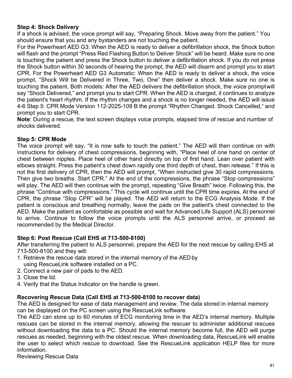#### **Step 4: Shock Delivery**

If a shock is advised, the voice prompt will say, "Preparing Shock. Move away from the patient." You should ensure that you and any bystanders are not touching the patient.

For the Powerheart AED G3: When the AED is ready to deliver a defibrillation shock, the Shock button will flash and the prompt "Press Red Flashing Button to Deliver Shock" will be heard. Make sure no one is touching the patient and press the Shock button to deliver a defibrillation shock. If you do not press the Shock button within 30 seconds of hearing the prompt, the AED will disarm and prompt you to start CPR. For the Powerheart AED G3 Automatic: When the AED is ready to deliver a shock, the voice prompt, "Shock Will be Delivered in Three, Two, One" then deliver a shock. Make sure no one is touching the patient. Both models: After the AED delivers the defibrillation shock, the voice promptwill say "Shock Delivered," and prompt you to start CPR. When the AED is charged, it continues to analyze the patient's heart rhythm. If the rhythm changes and a shock is no longer needed, the AED will issue 4-6 Step 5: CPR Mode Version 112-2025-109 B the prompt "Rhythm Changed. Shock Cancelled," and prompt you to start CPR.

**Note**: During a rescue, the text screen displays voice prompts, elapsed time of rescue and number of shocks delivered.

#### **Step 5: CPR Mode**

The voice prompt will say, "It is now safe to touch the patient." The AED will then continue on with instructions for delivery of chest compressions, beginning with, "Place heel of one hand on center of chest between nipples. Place heel of other hand directly on top of first hand. Lean over patient with elbows straight. Press the patient's chest down rapidly one third depth of chest, then release." If this is not the first delivery of CPR, then the AED will prompt, "When instructed give 30 rapid compressions. Then give two breaths. Start CPR." At the end of the compressions, the phrase "Stop compressions" will play. The AED will then continue with the prompt, repeating "Give Breath" twice. Following this, the phrase "Continue with compressions." This cycle will continue until the CPR time expires. At the end of CPR, the phrase "Stop CPR" will be played. The AED will return to the ECG Analysis Mode. If the patient is conscious and breathing normally, leave the pads on the patient's chest connected to the AED. Make the patient as comfortable as possible and wait for Advanced Life Support (ALS) personnel to arrive. Continue to follow the voice prompts until the ALS personnel arrive, or proceed as recommended by the Medical Director.

#### **Step 6: Post Rescue (Call EHS at 713-500-8100)**

After transferring the patient to ALS personnel, prepare the AED for the next rescue by calling EHS at 713-500-8100 and they will:

- 1. Retrieve the rescue data stored in the internal memory of the AEDby using RescueLink software installed on a PC.
- 2. Connect a new pair of pads to the AED.
- 3. Close the lid.
- 4. Verify that the Status Indicator on the handle is green.

#### **Recovering Rescue Data (Call EHS at 713-500-8100 to recover data)**

The AED is designed for ease of data management and review. The data stored in internal memory can be displayed on the PC screen using the RescueLink software.

The AED can store up to 60 minutes of ECG monitoring time in the AED's internal memory. Multiple rescues can be stored in the internal memory, allowing the rescuer to administer additional rescues without downloading the data to a PC. Should the internal memory become full, the AED will purge rescues as needed, beginning with the oldest rescue. When downloading data, RescueLink will enable the user to select which rescue to download. See the RescueLink application HELP files for more information.

Reviewing Rescue Data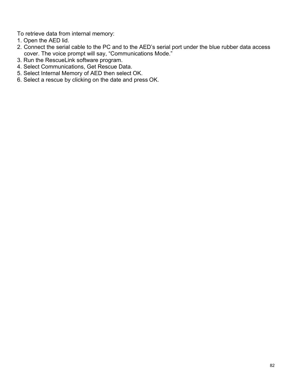To retrieve data from internal memory:

- 1. Open the AED lid.
- 2. Connect the serial cable to the PC and to the AED's serial port under the blue rubber data access cover. The voice prompt will say, "Communications Mode."
- 3. Run the RescueLink software program.
- 4. Select Communications, Get Rescue Data.
- 5. Select Internal Memory of AED then select OK.
- 6. Select a rescue by clicking on the date and press OK.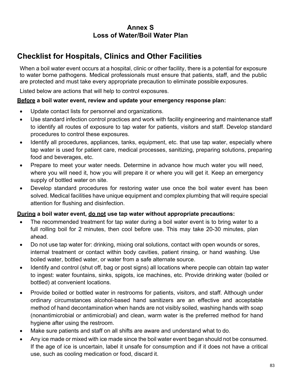### **Annex S Loss of Water/Boil Water Plan**

## **Checklist for Hospitals, Clinics and Other Facilities**

When a boil water event occurs at a hospital, clinic or other facility, there is a potential for exposure to water borne pathogens. Medical professionals must ensure that patients, staff, and the public are protected and must take every appropriate precaution to eliminate possible exposures.

Listed below are actions that will help to control exposures.

#### **Before a boil water event, review and update your emergency response plan:**

- Update contact lists for personnel and organizations.
- Use standard infection control practices and work with facility engineering and maintenance staff to identify all routes of exposure to tap water for patients, visitors and staff. Develop standard procedures to control these exposures.
- Identify all procedures, appliances, tanks, equipment, etc. that use tap water, especially where tap water is used for patient care, medical processes, sanitizing, preparing solutions, preparing food and beverages, etc.
- Prepare to meet your water needs. Determine in advance how much water you will need, where you will need it, how you will prepare it or where you will get it. Keep an emergency supply of bottled water on site.
- Develop standard procedures for restoring water use once the boil water event has been solved. Medical facilities have unique equipment and complex plumbing that will require special attention for flushing and disinfection.

#### **During a boil water event, do not use tap water without appropriate precautions:**

- The recommended treatment for tap water during a boil water event is to bring water to a full rolling boil for 2 minutes, then cool before use. This may take 20-30 minutes, plan ahead.
- Do not use tap water for: drinking, mixing oral solutions, contact with open wounds or sores, internal treatment or contact within body cavities, patient rinsing, or hand washing. Use boiled water, bottled water, or water from a safe alternate source.
- Identify and control (shut off, bag or post signs) all locations where people can obtain tap water to ingest: water fountains, sinks, spigots, ice machines, etc. Provide drinking water (boiled or bottled) at convenient locations.
- Provide boiled or bottled water in restrooms for patients, visitors, and staff. Although under ordinary circumstances alcohol-based hand sanitizers are an effective and acceptable method of hand decontamination when hands are not visibly soiled, washing hands with soap (nonantimicrobial or antimicrobial) and clean, warm water is the preferred method for hand hygiene after using the restroom.
- Make sure patients and staff on all shifts are aware and understand what to do.
- Any ice made or mixed with ice made since the boil water event began should not be consumed. If the age of ice is uncertain, label it unsafe for consumption and if it does not have a critical use, such as cooling medication or food, discard it.